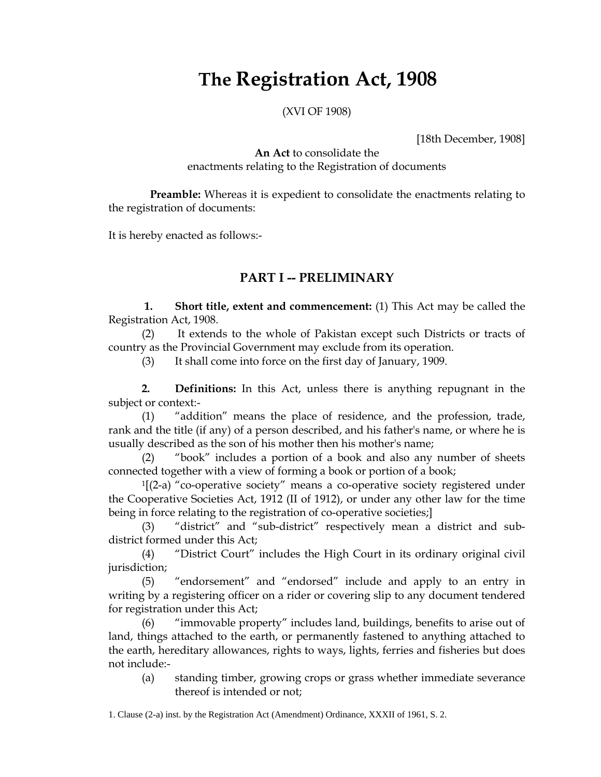# **The Registration Act, 1908**

(XVI OF 1908)

[18th December, 1908]

**An Act** to consolidate the enactments relating to the Registration of documents

 **Preamble:** Whereas it is expedient to consolidate the enactments relating to the registration of documents:

It is hereby enacted as follows:-

## **PART I -- PRELIMINARY**

 **1. Short title, extent and commencement:** (1) This Act may be called the Registration Act, 1908.

(2) It extends to the whole of Pakistan except such Districts or tracts of country as the Provincial Government may exclude from its operation.

(3) It shall come into force on the first day of January, 1909.

**2. Definitions:** In this Act, unless there is anything repugnant in the subject or context:-

(1) "addition" means the place of residence, and the profession, trade, rank and the title (if any) of a person described, and his father's name, or where he is usually described as the son of his mother then his mother's name;

(2) "book" includes a portion of a book and also any number of sheets connected together with a view of forming a book or portion of a book;

 $1[(2-a)$  "co-operative society" means a co-operative society registered under the Cooperative Societies Act, 1912 (II of 1912), or under any other law for the time being in force relating to the registration of co-operative societies;]

(3) "district" and "sub-district" respectively mean a district and subdistrict formed under this Act;

(4) "District Court" includes the High Court in its ordinary original civil jurisdiction;

(5) "endorsement" and "endorsed" include and apply to an entry in writing by a registering officer on a rider or covering slip to any document tendered for registration under this Act;

(6) "immovable property" includes land, buildings, benefits to arise out of land, things attached to the earth, or permanently fastened to anything attached to the earth, hereditary allowances, rights to ways, lights, ferries and fisheries but does not include:-

(a) standing timber, growing crops or grass whether immediate severance thereof is intended or not;

1. Clause (2-a) inst. by the Registration Act (Amendment) Ordinance, XXXII of 1961, S. 2.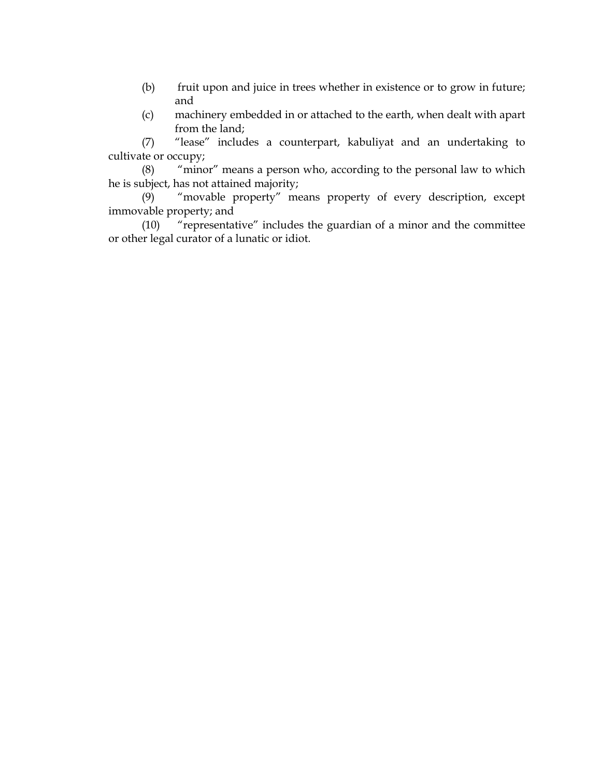- (b) fruit upon and juice in trees whether in existence or to grow in future; and
- (c) machinery embedded in or attached to the earth, when dealt with apart from the land;

(7) "lease" includes a counterpart, kabuliyat and an undertaking to cultivate or occupy;

(8) "minor" means a person who, according to the personal law to which he is subject, has not attained majority;

(9) "movable property" means property of every description, except immovable property; and

(10) "representative" includes the guardian of a minor and the committee or other legal curator of a lunatic or idiot.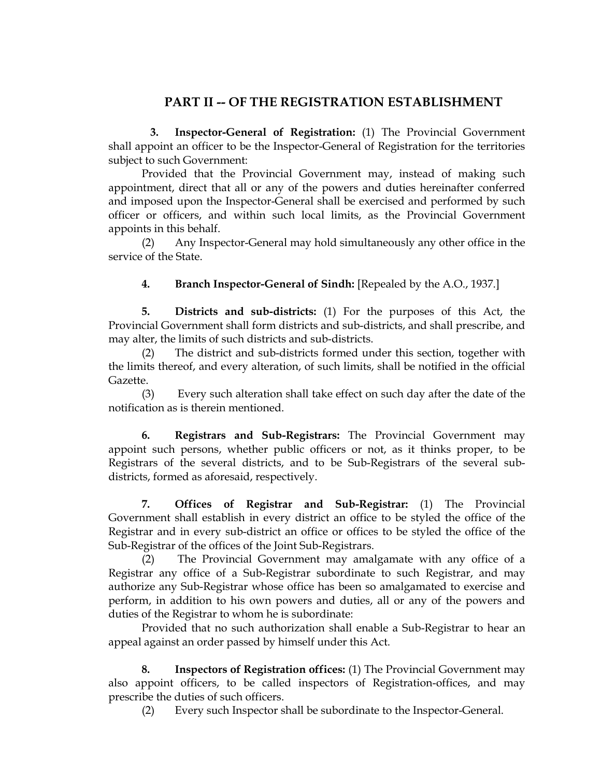## **PART II -- OF THE REGISTRATION ESTABLISHMENT**

 **3. Inspector-General of Registration:** (1) The Provincial Government shall appoint an officer to be the Inspector-General of Registration for the territories subject to such Government:

Provided that the Provincial Government may, instead of making such appointment, direct that all or any of the powers and duties hereinafter conferred and imposed upon the Inspector-General shall be exercised and performed by such officer or officers, and within such local limits, as the Provincial Government appoints in this behalf.

Any Inspector-General may hold simultaneously any other office in the service of the State.

**4. Branch Inspector-General of Sindh:** [Repealed by the A.O., 1937.]

**5. Districts and sub-districts:** (1) For the purposes of this Act, the Provincial Government shall form districts and sub-districts, and shall prescribe, and may alter, the limits of such districts and sub-districts.

(2) The district and sub-districts formed under this section, together with the limits thereof, and every alteration, of such limits, shall be notified in the official Gazette.

(3) Every such alteration shall take effect on such day after the date of the notification as is therein mentioned.

**6. Registrars and Sub-Registrars:** The Provincial Government may appoint such persons, whether public officers or not, as it thinks proper, to be Registrars of the several districts, and to be Sub-Registrars of the several subdistricts, formed as aforesaid, respectively.

**7. Offices of Registrar and Sub-Registrar:** (1) The Provincial Government shall establish in every district an office to be styled the office of the Registrar and in every sub-district an office or offices to be styled the office of the Sub-Registrar of the offices of the Joint Sub-Registrars.

(2) The Provincial Government may amalgamate with any office of a Registrar any office of a Sub-Registrar subordinate to such Registrar, and may authorize any Sub-Registrar whose office has been so amalgamated to exercise and perform, in addition to his own powers and duties, all or any of the powers and duties of the Registrar to whom he is subordinate:

Provided that no such authorization shall enable a Sub-Registrar to hear an appeal against an order passed by himself under this Act.

**8. Inspectors of Registration offices:** (1) The Provincial Government may also appoint officers, to be called inspectors of Registration-offices, and may prescribe the duties of such officers.

(2) Every such Inspector shall be subordinate to the Inspector-General.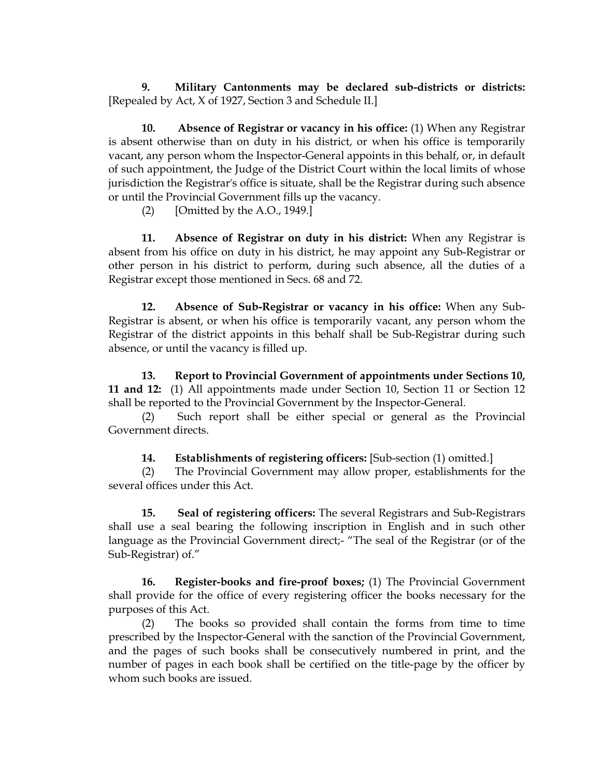**9. Military Cantonments may be declared sub-districts or districts:** [Repealed by Act, X of 1927, Section 3 and Schedule II.]

**10. Absence of Registrar or vacancy in his office:** (1) When any Registrar is absent otherwise than on duty in his district, or when his office is temporarily vacant, any person whom the Inspector-General appoints in this behalf, or, in default of such appointment, the Judge of the District Court within the local limits of whose jurisdiction the Registrar's office is situate, shall be the Registrar during such absence or until the Provincial Government fills up the vacancy.

(2) [Omitted by the A.O., 1949.]

**11. Absence of Registrar on duty in his district:** When any Registrar is absent from his office on duty in his district, he may appoint any Sub-Registrar or other person in his district to perform, during such absence, all the duties of a Registrar except those mentioned in Secs. 68 and 72.

**12. Absence of Sub-Registrar or vacancy in his office:** When any Sub-Registrar is absent, or when his office is temporarily vacant, any person whom the Registrar of the district appoints in this behalf shall be Sub-Registrar during such absence, or until the vacancy is filled up.

**13. Report to Provincial Government of appointments under Sections 10, 11 and 12:** (1) All appointments made under Section 10, Section 11 or Section 12 shall be reported to the Provincial Government by the Inspector-General.

(2) Such report shall be either special or general as the Provincial Government directs.

#### **14. Establishments of registering officers:** [Sub-section (1) omitted.]

(2) The Provincial Government may allow proper, establishments for the several offices under this Act.

**15. Seal of registering officers:** The several Registrars and Sub-Registrars shall use a seal bearing the following inscription in English and in such other language as the Provincial Government direct;- "The seal of the Registrar (or of the Sub-Registrar) of."

**16. Register-books and fire-proof boxes;** (1) The Provincial Government shall provide for the office of every registering officer the books necessary for the purposes of this Act.

(2) The books so provided shall contain the forms from time to time prescribed by the Inspector-General with the sanction of the Provincial Government, and the pages of such books shall be consecutively numbered in print, and the number of pages in each book shall be certified on the title-page by the officer by whom such books are issued.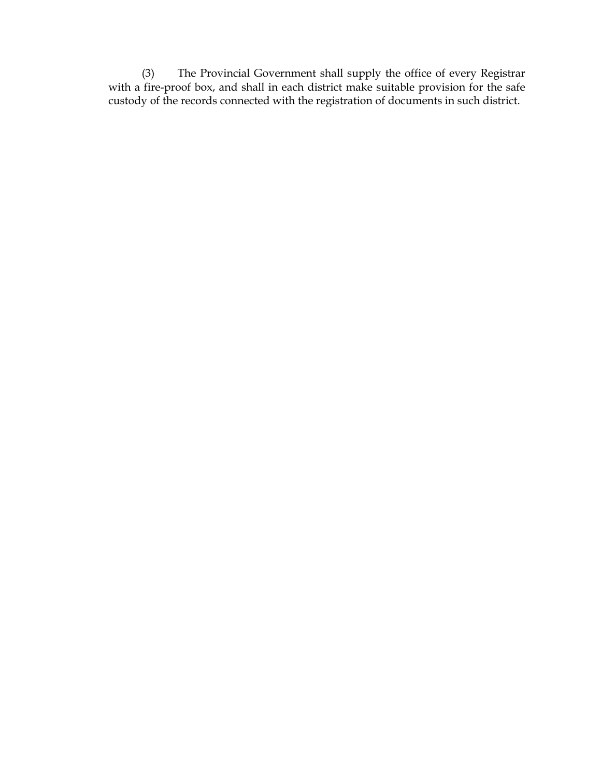(3) The Provincial Government shall supply the office of every Registrar with a fire-proof box, and shall in each district make suitable provision for the safe custody of the records connected with the registration of documents in such district.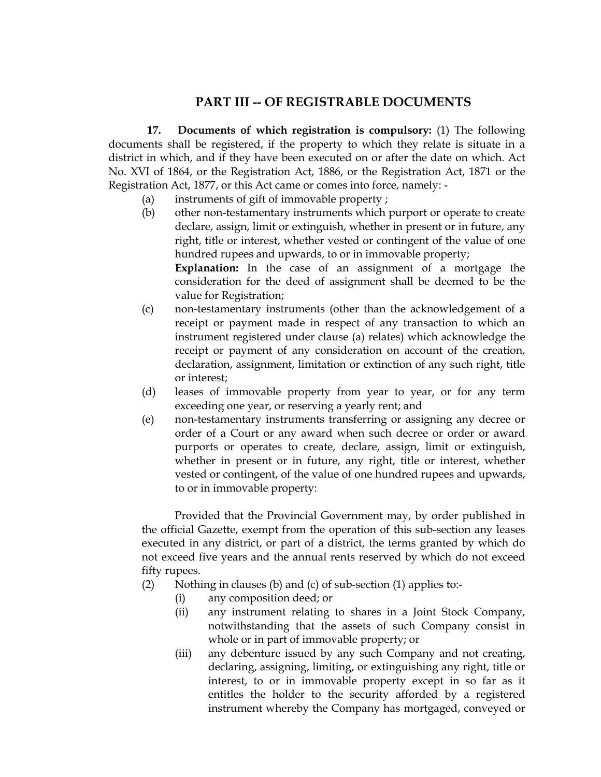## **PART III -- OF REGISTRABLE DOCUMENTS**

 **17. Documents of which registration is compulsory:** (1) The following documents shall be registered, if the property to which they relate is situate in a district in which, and if they have been executed on or after the date on which. Act No. XVI of 1864, or the Registration Act, 1886, or the Registration Act, 1871 or the Registration Act, 1877, or this Act came or comes into force, namely: -

- (a) instruments of gift of immovable property ;
- (b) other non-testamentary instruments which purport or operate to create declare, assign, limit or extinguish, whether in present or in future, any right, title or interest, whether vested or contingent of the value of one hundred rupees and upwards, to or in immovable property; **Explanation:** In the case of an assignment of a mortgage the consideration for the deed of assignment shall be deemed to be the
- value for Registration; (c) non-testamentary instruments (other than the acknowledgement of a receipt or payment made in respect of any transaction to which an instrument registered under clause (a) relates) which acknowledge the receipt or payment of any consideration on account of the creation, declaration, assignment, limitation or extinction of any such right, title or interest;
- (d) leases of immovable property from year to year, or for any term exceeding one year, or reserving a yearly rent; and
- (e) non-testamentary instruments transferring or assigning any decree or order of a Court or any award when such decree or order or award purports or operates to create, declare, assign, limit or extinguish, whether in present or in future, any right, title or interest, whether vested or contingent, of the value of one hundred rupees and upwards, to or in immovable property:

Provided that the Provincial Government may, by order published in the official Gazette, exempt from the operation of this sub-section any leases executed in any district, or part of a district, the terms granted by which do not exceed five years and the annual rents reserved by which do not exceed fifty rupees.

- (2) Nothing in clauses (b) and (c) of sub-section (1) applies to:-
	- (i) any composition deed; or
	- (ii) any instrument relating to shares in a Joint Stock Company, notwithstanding that the assets of such Company consist in whole or in part of immovable property; or
	- (iii) any debenture issued by any such Company and not creating, declaring, assigning, limiting, or extinguishing any right, title or interest, to or in immovable property except in so far as it entitles the holder to the security afforded by a registered instrument whereby the Company has mortgaged, conveyed or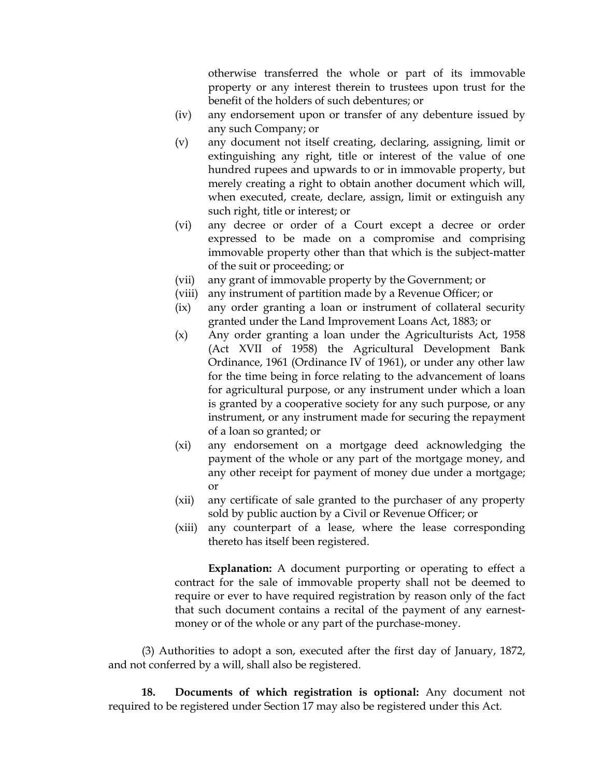otherwise transferred the whole or part of its immovable property or any interest therein to trustees upon trust for the benefit of the holders of such debentures; or

- (iv) any endorsement upon or transfer of any debenture issued by any such Company; or
- (v) any document not itself creating, declaring, assigning, limit or extinguishing any right, title or interest of the value of one hundred rupees and upwards to or in immovable property, but merely creating a right to obtain another document which will, when executed, create, declare, assign, limit or extinguish any such right, title or interest; or
- (vi) any decree or order of a Court except a decree or order expressed to be made on a compromise and comprising immovable property other than that which is the subject-matter of the suit or proceeding; or
- (vii) any grant of immovable property by the Government; or
- (viii) any instrument of partition made by a Revenue Officer; or
- (ix) any order granting a loan or instrument of collateral security granted under the Land Improvement Loans Act, 1883; or
- (x) Any order granting a loan under the Agriculturists Act, 1958 (Act XVII of 1958) the Agricultural Development Bank Ordinance, 1961 (Ordinance IV of 1961), or under any other law for the time being in force relating to the advancement of loans for agricultural purpose, or any instrument under which a loan is granted by a cooperative society for any such purpose, or any instrument, or any instrument made for securing the repayment of a loan so granted; or
- (xi) any endorsement on a mortgage deed acknowledging the payment of the whole or any part of the mortgage money, and any other receipt for payment of money due under a mortgage; or
- (xii) any certificate of sale granted to the purchaser of any property sold by public auction by a Civil or Revenue Officer; or
- (xiii) any counterpart of a lease, where the lease corresponding thereto has itself been registered.

**Explanation:** A document purporting or operating to effect a contract for the sale of immovable property shall not be deemed to require or ever to have required registration by reason only of the fact that such document contains a recital of the payment of any earnestmoney or of the whole or any part of the purchase-money.

(3) Authorities to adopt a son, executed after the first day of January, 1872, and not conferred by a will, shall also be registered.

**18. Documents of which registration is optional:** Any document not required to be registered under Section 17 may also be registered under this Act.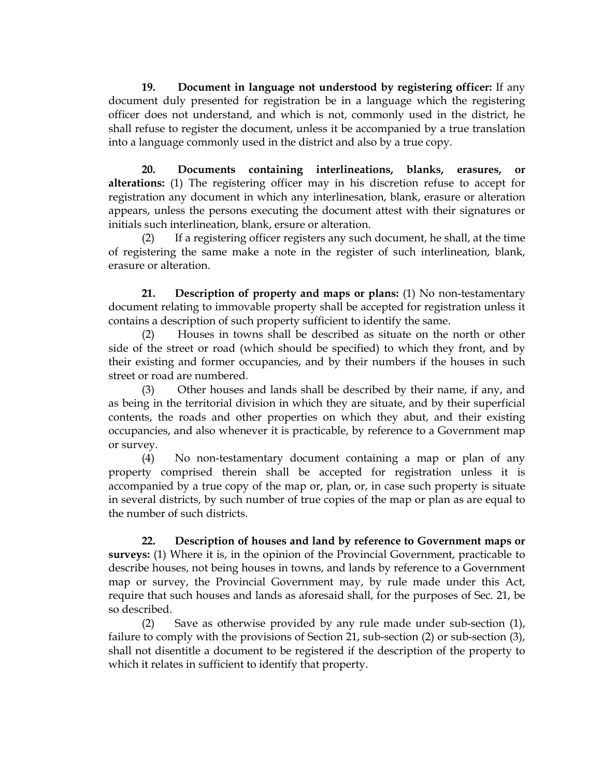**19. Document in language not understood by registering officer:** If any document duly presented for registration be in a language which the registering officer does not understand, and which is not, commonly used in the district, he shall refuse to register the document, unless it be accompanied by a true translation into a language commonly used in the district and also by a true copy.

**20. Documents containing interlineations, blanks, erasures, or alterations:** (1) The registering officer may in his discretion refuse to accept for registration any document in which any interlinesation, blank, erasure or alteration appears, unless the persons executing the document attest with their signatures or initials such interlineation, blank, ersure or alteration.

(2) If a registering officer registers any such document, he shall, at the time of registering the same make a note in the register of such interlineation, blank, erasure or alteration.

**21. Description of property and maps or plans:** (1) No non-testamentary document relating to immovable property shall be accepted for registration unless it contains a description of such property sufficient to identify the same.

(2) Houses in towns shall be described as situate on the north or other side of the street or road (which should be specified) to which they front, and by their existing and former occupancies, and by their numbers if the houses in such street or road are numbered.

(3) Other houses and lands shall be described by their name, if any, and as being in the territorial division in which they are situate, and by their superficial contents, the roads and other properties on which they abut, and their existing occupancies, and also whenever it is practicable, by reference to a Government map or survey.

(4) No non-testamentary document containing a map or plan of any property comprised therein shall be accepted for registration unless it is accompanied by a true copy of the map or, plan, or, in case such property is situate in several districts, by such number of true copies of the map or plan as are equal to the number of such districts.

**22. Description of houses and land by reference to Government maps or surveys:** (1) Where it is, in the opinion of the Provincial Government, practicable to describe houses, not being houses in towns, and lands by reference to a Government map or survey, the Provincial Government may, by rule made under this Act, require that such houses and lands as aforesaid shall, for the purposes of Sec. 21, be so described.

(2) Save as otherwise provided by any rule made under sub-section (1), failure to comply with the provisions of Section 21, sub-section (2) or sub-section (3), shall not disentitle a document to be registered if the description of the property to which it relates in sufficient to identify that property.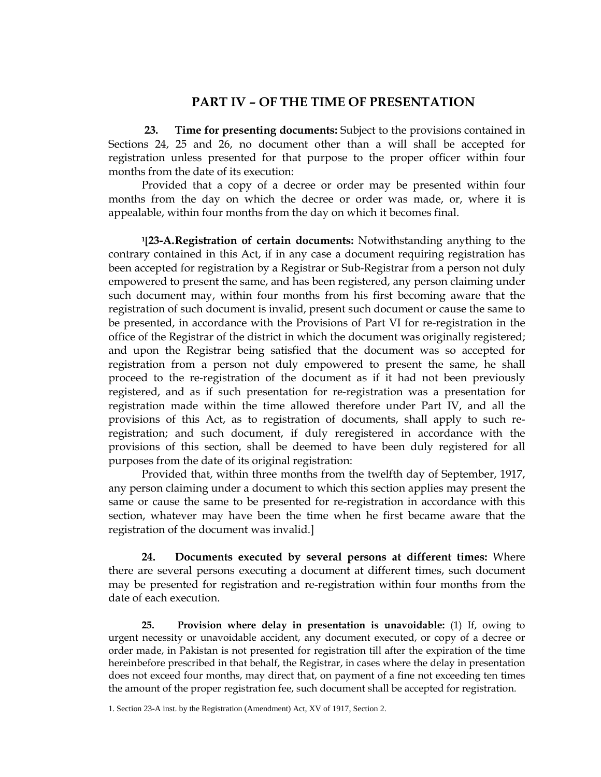#### **PART IV – OF THE TIME OF PRESENTATION**

 **23. Time for presenting documents:** Subject to the provisions contained in Sections 24, 25 and 26, no document other than a will shall be accepted for registration unless presented for that purpose to the proper officer within four months from the date of its execution:

Provided that a copy of a decree or order may be presented within four months from the day on which the decree or order was made, or, where it is appealable, within four months from the day on which it becomes final.

**1[23-A. Registration of certain documents:** Notwithstanding anything to the contrary contained in this Act, if in any case a document requiring registration has been accepted for registration by a Registrar or Sub-Registrar from a person not duly empowered to present the same, and has been registered, any person claiming under such document may, within four months from his first becoming aware that the registration of such document is invalid, present such document or cause the same to be presented, in accordance with the Provisions of Part VI for re-registration in the office of the Registrar of the district in which the document was originally registered; and upon the Registrar being satisfied that the document was so accepted for registration from a person not duly empowered to present the same, he shall proceed to the re-registration of the document as if it had not been previously registered, and as if such presentation for re-registration was a presentation for registration made within the time allowed therefore under Part IV, and all the provisions of this Act, as to registration of documents, shall apply to such reregistration; and such document, if duly reregistered in accordance with the provisions of this section, shall be deemed to have been duly registered for all purposes from the date of its original registration:

Provided that, within three months from the twelfth day of September, 1917, any person claiming under a document to which this section applies may present the same or cause the same to be presented for re-registration in accordance with this section, whatever may have been the time when he first became aware that the registration of the document was invalid.]

**24. Documents executed by several persons at different times:** Where there are several persons executing a document at different times, such document may be presented for registration and re-registration within four months from the date of each execution.

**25. Provision where delay in presentation is unavoidable:** (1) If, owing to urgent necessity or unavoidable accident, any document executed, or copy of a decree or order made, in Pakistan is not presented for registration till after the expiration of the time hereinbefore prescribed in that behalf, the Registrar, in cases where the delay in presentation does not exceed four months, may direct that, on payment of a fine not exceeding ten times the amount of the proper registration fee, such document shall be accepted for registration.

<sup>1.</sup> Section 23-A inst. by the Registration (Amendment) Act, XV of 1917, Section 2.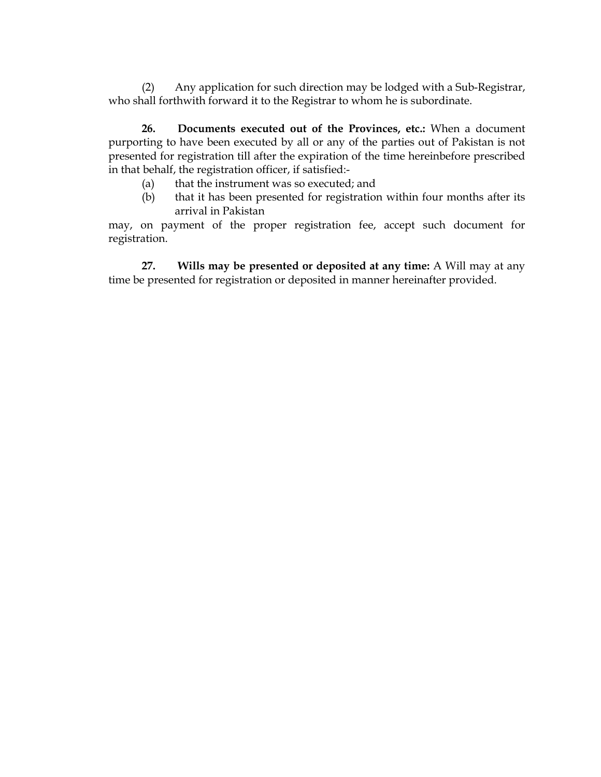(2) Any application for such direction may be lodged with a Sub-Registrar, who shall forthwith forward it to the Registrar to whom he is subordinate.

**26. Documents executed out of the Provinces, etc.:** When a document purporting to have been executed by all or any of the parties out of Pakistan is not presented for registration till after the expiration of the time hereinbefore prescribed in that behalf, the registration officer, if satisfied:-

- (a) that the instrument was so executed; and
- (b) that it has been presented for registration within four months after its arrival in Pakistan

may, on payment of the proper registration fee, accept such document for registration.

**27. Wills may be presented or deposited at any time:** A Will may at any time be presented for registration or deposited in manner hereinafter provided.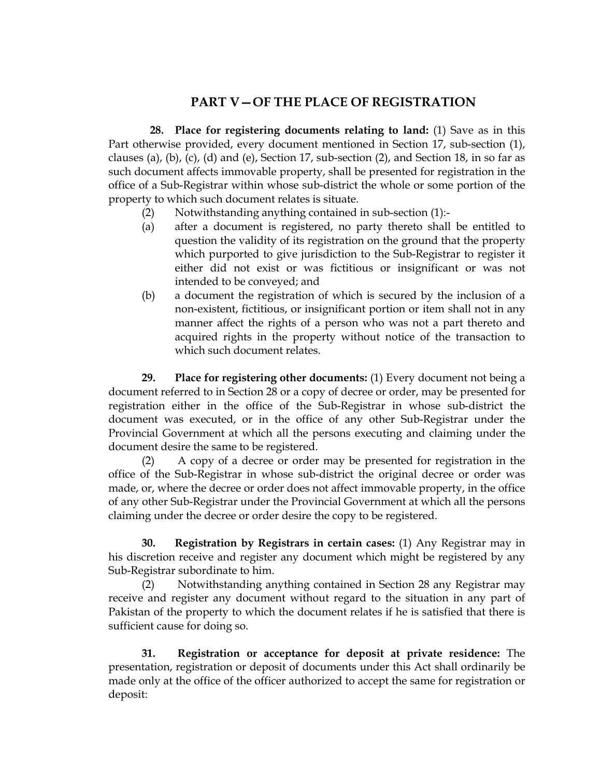## **PART V—OF THE PLACE OF REGISTRATION**

 **28. Place for registering documents relating to land:** (1) Save as in this Part otherwise provided, every document mentioned in Section 17, sub-section (1), clauses (a), (b), (c), (d) and (e), Section 17, sub-section  $(2)$ , and Section 18, in so far as such document affects immovable property, shall be presented for registration in the office of a Sub-Registrar within whose sub-district the whole or some portion of the property to which such document relates is situate.

- (2) Notwithstanding anything contained in sub-section (1):-
- (a) after a document is registered, no party thereto shall be entitled to question the validity of its registration on the ground that the property which purported to give jurisdiction to the Sub-Registrar to register it either did not exist or was fictitious or insignificant or was not intended to be conveyed; and
- (b) a document the registration of which is secured by the inclusion of a non-existent, fictitious, or insignificant portion or item shall not in any manner affect the rights of a person who was not a part thereto and acquired rights in the property without notice of the transaction to which such document relates.

**29. Place for registering other documents:** (1) Every document not being a document referred to in Section 28 or a copy of decree or order, may be presented for registration either in the office of the Sub-Registrar in whose sub-district the document was executed, or in the office of any other Sub-Registrar under the Provincial Government at which all the persons executing and claiming under the document desire the same to be registered.

(2) A copy of a decree or order may be presented for registration in the office of the Sub-Registrar in whose sub-district the original decree or order was made, or, where the decree or order does not affect immovable property, in the office of any other Sub-Registrar under the Provincial Government at which all the persons claiming under the decree or order desire the copy to be registered.

**30. Registration by Registrars in certain cases:** (1) Any Registrar may in his discretion receive and register any document which might be registered by any Sub-Registrar subordinate to him.

(2) Notwithstanding anything contained in Section 28 any Registrar may receive and register any document without regard to the situation in any part of Pakistan of the property to which the document relates if he is satisfied that there is sufficient cause for doing so.

**31. Registration or acceptance for deposit at private residence:** The presentation, registration or deposit of documents under this Act shall ordinarily be made only at the office of the officer authorized to accept the same for registration or deposit: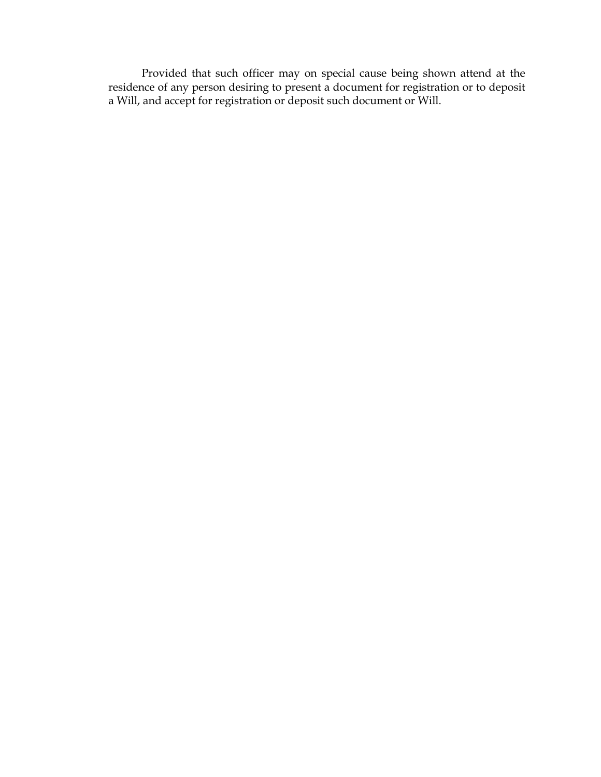Provided that such officer may on special cause being shown attend at the residence of any person desiring to present a document for registration or to deposit a Will, and accept for registration or deposit such document or Will.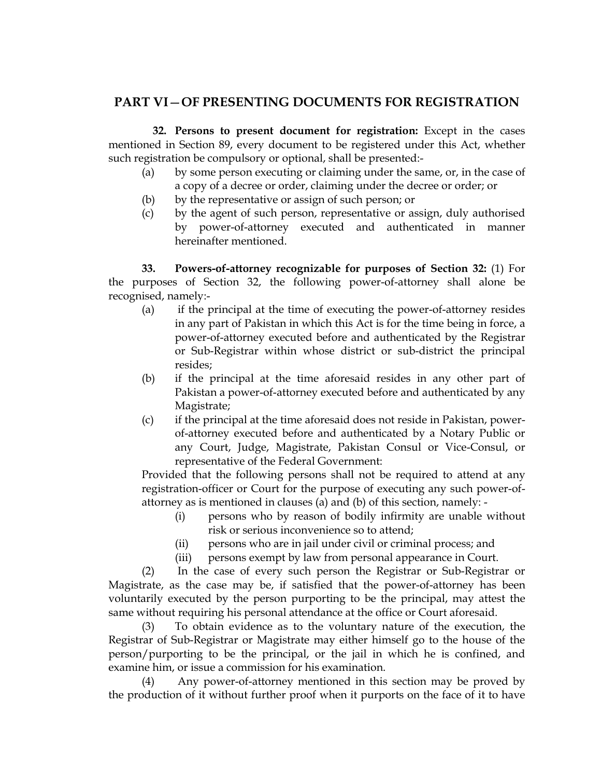## **PART VI**—**OF PRESENTING DOCUMENTS FOR REGISTRATION**

 **32. Persons to present document for registration:** Except in the cases mentioned in Section 89, every document to be registered under this Act, whether such registration be compulsory or optional, shall be presented:-

- (a) by some person executing or claiming under the same, or, in the case of a copy of a decree or order, claiming under the decree or order; or
- (b) by the representative or assign of such person; or
- (c) by the agent of such person, representative or assign, duly authorised by power-of-attorney executed and authenticated in manner hereinafter mentioned.

**33. Powers-of-attorney recognizable for purposes of Section 32:** (1) For the purposes of Section 32, the following power-of-attorney shall alone be recognised, namely:-

- (a) if the principal at the time of executing the power-of-attorney resides in any part of Pakistan in which this Act is for the time being in force, a power-of-attorney executed before and authenticated by the Registrar or Sub-Registrar within whose district or sub-district the principal resides;
- (b) if the principal at the time aforesaid resides in any other part of Pakistan a power-of-attorney executed before and authenticated by any Magistrate;
- (c) if the principal at the time aforesaid does not reside in Pakistan, powerof-attorney executed before and authenticated by a Notary Public or any Court, Judge, Magistrate, Pakistan Consul or Vice-Consul, or representative of the Federal Government:

Provided that the following persons shall not be required to attend at any registration-officer or Court for the purpose of executing any such power-ofattorney as is mentioned in clauses (a) and (b) of this section, namely: -

- (i) persons who by reason of bodily infirmity are unable without risk or serious inconvenience so to attend;
- (ii) persons who are in jail under civil or criminal process; and
- (iii) persons exempt by law from personal appearance in Court.

(2) In the case of every such person the Registrar or Sub-Registrar or Magistrate, as the case may be, if satisfied that the power-of-attorney has been voluntarily executed by the person purporting to be the principal, may attest the same without requiring his personal attendance at the office or Court aforesaid.

(3) To obtain evidence as to the voluntary nature of the execution, the Registrar of Sub-Registrar or Magistrate may either himself go to the house of the person/purporting to be the principal, or the jail in which he is confined, and examine him, or issue a commission for his examination.

(4) Any power-of-attorney mentioned in this section may be proved by the production of it without further proof when it purports on the face of it to have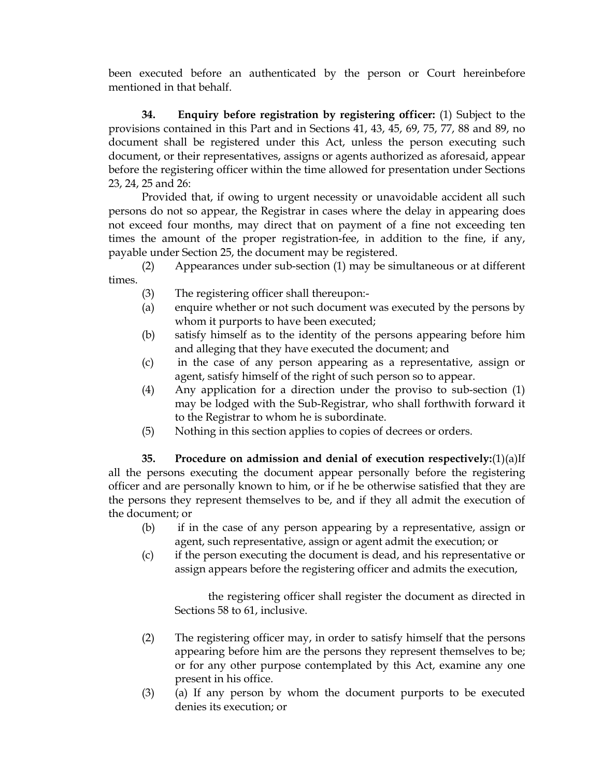been executed before an authenticated by the person or Court hereinbefore mentioned in that behalf.

**34. Enquiry before registration by registering officer:** (1) Subject to the provisions contained in this Part and in Sections 41, 43, 45, 69, 75, 77, 88 and 89, no document shall be registered under this Act, unless the person executing such document, or their representatives, assigns or agents authorized as aforesaid, appear before the registering officer within the time allowed for presentation under Sections 23, 24, 25 and 26:

Provided that, if owing to urgent necessity or unavoidable accident all such persons do not so appear, the Registrar in cases where the delay in appearing does not exceed four months, may direct that on payment of a fine not exceeding ten times the amount of the proper registration-fee, in addition to the fine, if any, payable under Section 25, the document may be registered.

(2) Appearances under sub-section (1) may be simultaneous or at different times.

- (3) The registering officer shall thereupon:-
- (a) enquire whether or not such document was executed by the persons by whom it purports to have been executed;
- (b) satisfy himself as to the identity of the persons appearing before him and alleging that they have executed the document; and
- (c) in the case of any person appearing as a representative, assign or agent, satisfy himself of the right of such person so to appear.
- (4) Any application for a direction under the proviso to sub-section (1) may be lodged with the Sub-Registrar, who shall forthwith forward it to the Registrar to whom he is subordinate.
- (5) Nothing in this section applies to copies of decrees or orders.

**35. Procedure on admission and denial of execution respectively:**(1)(a)If all the persons executing the document appear personally before the registering officer and are personally known to him, or if he be otherwise satisfied that they are the persons they represent themselves to be, and if they all admit the execution of the document; or

- (b) if in the case of any person appearing by a representative, assign or agent, such representative, assign or agent admit the execution; or
- (c) if the person executing the document is dead, and his representative or assign appears before the registering officer and admits the execution,

the registering officer shall register the document as directed in Sections 58 to 61, inclusive.

- (2) The registering officer may, in order to satisfy himself that the persons appearing before him are the persons they represent themselves to be; or for any other purpose contemplated by this Act, examine any one present in his office.
- (3) (a) If any person by whom the document purports to be executed denies its execution; or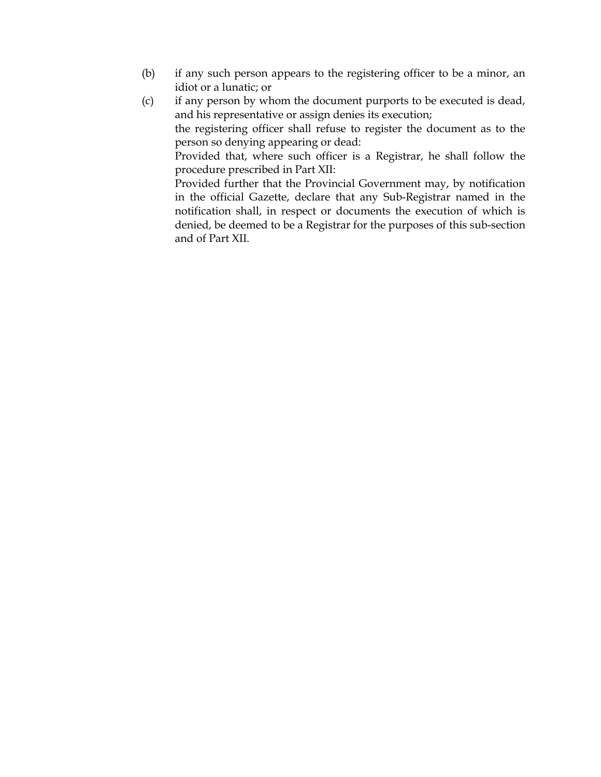- (b) if any such person appears to the registering officer to be a minor, an idiot or a lunatic; or
- (c) if any person by whom the document purports to be executed is dead, and his representative or assign denies its execution;

the registering officer shall refuse to register the document as to the person so denying appearing or dead:

Provided that, where such officer is a Registrar, he shall follow the procedure prescribed in Part XII:

Provided further that the Provincial Government may, by notification in the official Gazette, declare that any Sub-Registrar named in the notification shall, in respect or documents the execution of which is denied, be deemed to be a Registrar for the purposes of this sub-section and of Part XII.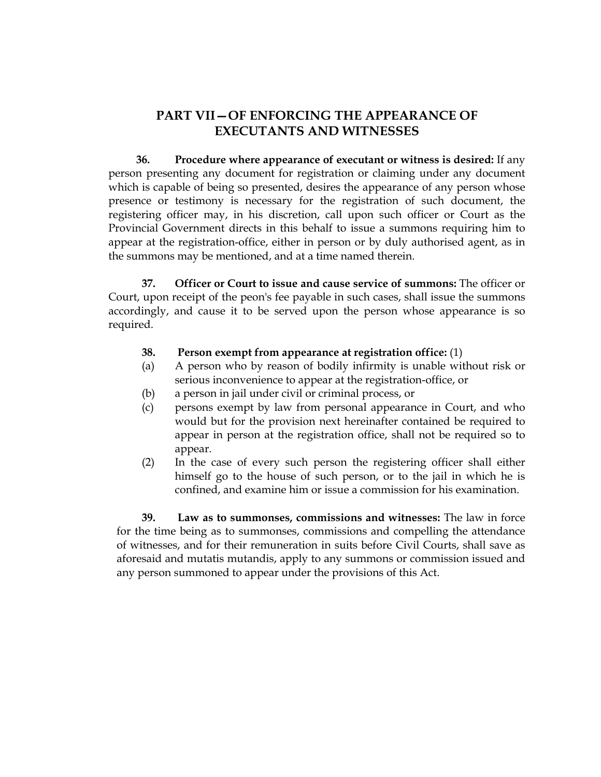## **PART VII—OF ENFORCING THE APPEARANCE OF EXECUTANTS AND WITNESSES**

 **36. Procedure where appearance of executant or witness is desired:** If any person presenting any document for registration or claiming under any document which is capable of being so presented, desires the appearance of any person whose presence or testimony is necessary for the registration of such document, the registering officer may, in his discretion, call upon such officer or Court as the Provincial Government directs in this behalf to issue a summons requiring him to appear at the registration-office, either in person or by duly authorised agent, as in the summons may be mentioned, and at a time named therein.

**37. Officer or Court to issue and cause service of summons:** The officer or Court, upon receipt of the peon's fee payable in such cases, shall issue the summons accordingly, and cause it to be served upon the person whose appearance is so required.

- **38. Person exempt from appearance at registration office:** (1)
- (a) A person who by reason of bodily infirmity is unable without risk or serious inconvenience to appear at the registration-office, or
- (b) a person in jail under civil or criminal process, or
- (c) persons exempt by law from personal appearance in Court, and who would but for the provision next hereinafter contained be required to appear in person at the registration office, shall not be required so to appear.
- (2) In the case of every such person the registering officer shall either himself go to the house of such person, or to the jail in which he is confined, and examine him or issue a commission for his examination.

**39. Law as to summonses, commissions and witnesses:** The law in force for the time being as to summonses, commissions and compelling the attendance of witnesses, and for their remuneration in suits before Civil Courts, shall save as aforesaid and mutatis mutandis, apply to any summons or commission issued and any person summoned to appear under the provisions of this Act.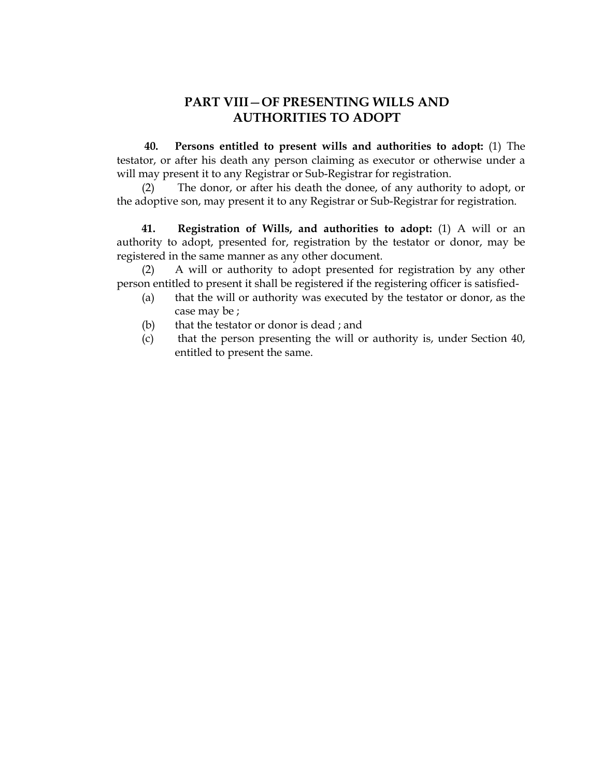## **PART VIII**—**OF PRESENTING WILLS AND AUTHORITIES TO ADOPT**

 **40. Persons entitled to present wills and authorities to adopt:** (1) The testator, or after his death any person claiming as executor or otherwise under a will may present it to any Registrar or Sub-Registrar for registration.

(2) The donor, or after his death the donee, of any authority to adopt, or the adoptive son, may present it to any Registrar or Sub-Registrar for registration.

**41. Registration of Wills, and authorities to adopt:** (1) A will or an authority to adopt, presented for, registration by the testator or donor, may be registered in the same manner as any other document.

(2) A will or authority to adopt presented for registration by any other person entitled to present it shall be registered if the registering officer is satisfied-

- (a) that the will or authority was executed by the testator or donor, as the case may be ;
- (b) that the testator or donor is dead ; and
- (c) that the person presenting the will or authority is, under Section 40, entitled to present the same.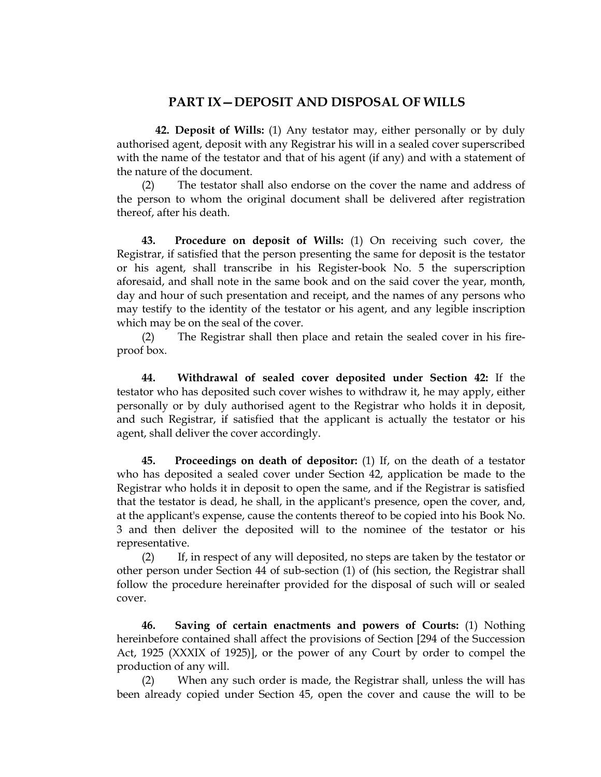## **PART IX—DEPOSIT AND DISPOSAL OF WILLS**

 **42. Deposit of Wills:** (1) Any testator may, either personally or by duly authorised agent, deposit with any Registrar his will in a sealed cover superscribed with the name of the testator and that of his agent (if any) and with a statement of the nature of the document.

(2) The testator shall also endorse on the cover the name and address of the person to whom the original document shall be delivered after registration thereof, after his death.

**43. Procedure on deposit of Wills:** (1) On receiving such cover, the Registrar, if satisfied that the person presenting the same for deposit is the testator or his agent, shall transcribe in his Register-book No. 5 the superscription aforesaid, and shall note in the same book and on the said cover the year, month, day and hour of such presentation and receipt, and the names of any persons who may testify to the identity of the testator or his agent, and any legible inscription which may be on the seal of the cover.

(2) The Registrar shall then place and retain the sealed cover in his fireproof box.

**44. Withdrawal of sealed cover deposited under Section 42:** If the testator who has deposited such cover wishes to withdraw it, he may apply, either personally or by duly authorised agent to the Registrar who holds it in deposit, and such Registrar, if satisfied that the applicant is actually the testator or his agent, shall deliver the cover accordingly.

**45. Proceedings on death of depositor:** (1) If, on the death of a testator who has deposited a sealed cover under Section 42, application be made to the Registrar who holds it in deposit to open the same, and if the Registrar is satisfied that the testator is dead, he shall, in the applicant's presence, open the cover, and, at the applicant's expense, cause the contents thereof to be copied into his Book No. 3 and then deliver the deposited will to the nominee of the testator or his representative.

(2) If, in respect of any will deposited, no steps are taken by the testator or other person under Section 44 of sub-section (1) of (his section, the Registrar shall follow the procedure hereinafter provided for the disposal of such will or sealed cover.

**46. Saving of certain enactments and powers of Courts:** (1) Nothing hereinbefore contained shall affect the provisions of Section [294 of the Succession Act, 1925 (XXXIX of 1925)], or the power of any Court by order to compel the production of any will.

(2) When any such order is made, the Registrar shall, unless the will has been already copied under Section 45, open the cover and cause the will to be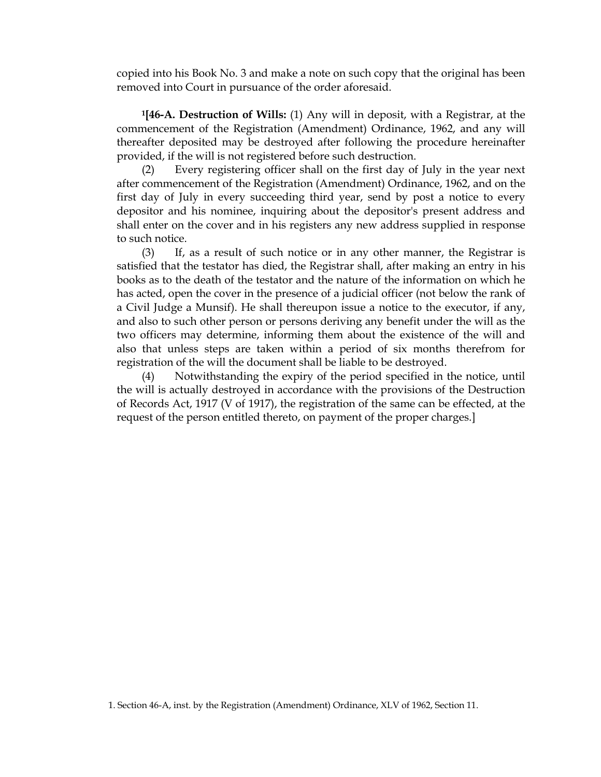copied into his Book No. 3 and make a note on such copy that the original has been removed into Court in pursuance of the order aforesaid.

**1[46-A. Destruction of Wills:** (1) Any will in deposit, with a Registrar, at the commencement of the Registration (Amendment) Ordinance, 1962, and any will thereafter deposited may be destroyed after following the procedure hereinafter provided, if the will is not registered before such destruction.

(2) Every registering officer shall on the first day of July in the year next after commencement of the Registration (Amendment) Ordinance, 1962, and on the first day of July in every succeeding third year, send by post a notice to every depositor and his nominee, inquiring about the depositor's present address and shall enter on the cover and in his registers any new address supplied in response to such notice.

(3) If, as a result of such notice or in any other manner, the Registrar is satisfied that the testator has died, the Registrar shall, after making an entry in his books as to the death of the testator and the nature of the information on which he has acted, open the cover in the presence of a judicial officer (not below the rank of a Civil Judge a Munsif). He shall thereupon issue a notice to the executor, if any, and also to such other person or persons deriving any benefit under the will as the two officers may determine, informing them about the existence of the will and also that unless steps are taken within a period of six months therefrom for registration of the will the document shall be liable to be destroyed.

(4) Notwithstanding the expiry of the period specified in the notice, until the will is actually destroyed in accordance with the provisions of the Destruction of Records Act, 1917 (V of 1917), the registration of the same can be effected, at the request of the person entitled thereto, on payment of the proper charges.]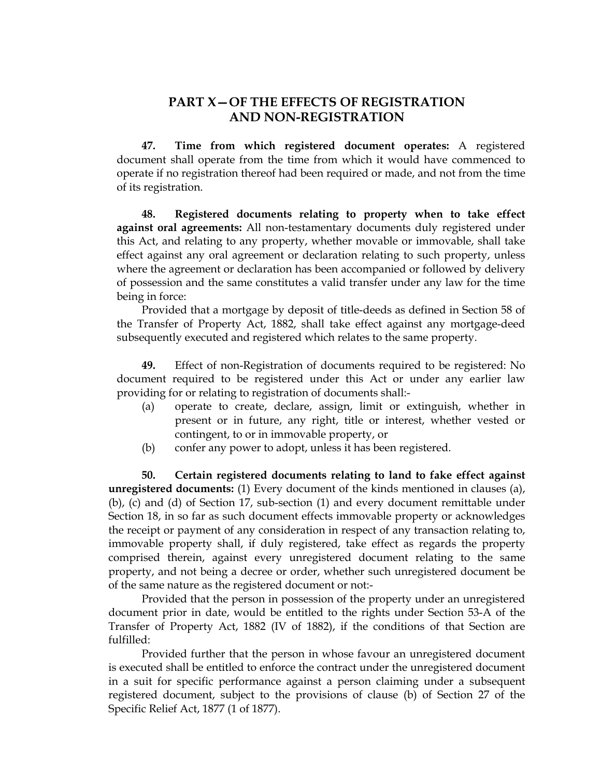## **PART X—OF THE EFFECTS OF REGISTRATION AND NON-REGISTRATION**

 **47. Time from which registered document operates:** A registered document shall operate from the time from which it would have commenced to operate if no registration thereof had been required or made, and not from the time of its registration.

**48. Registered documents relating to property when to take effect against oral agreements:** All non-testamentary documents duly registered under this Act, and relating to any property, whether movable or immovable, shall take effect against any oral agreement or declaration relating to such property, unless where the agreement or declaration has been accompanied or followed by delivery of possession and the same constitutes a valid transfer under any law for the time being in force:

Provided that a mortgage by deposit of title-deeds as defined in Section 58 of the Transfer of Property Act, 1882, shall take effect against any mortgage-deed subsequently executed and registered which relates to the same property.

**49.** Effect of non-Registration of documents required to be registered: No document required to be registered under this Act or under any earlier law providing for or relating to registration of documents shall:-

- (a) operate to create, declare, assign, limit or extinguish, whether in present or in future, any right, title or interest, whether vested or contingent, to or in immovable property, or
- (b) confer any power to adopt, unless it has been registered.

**50. Certain registered documents relating to land to fake effect against unregistered documents:** (1) Every document of the kinds mentioned in clauses (a), (b), (c) and (d) of Section 17, sub-section (1) and every document remittable under Section 18, in so far as such document effects immovable property or acknowledges the receipt or payment of any consideration in respect of any transaction relating to, immovable property shall, if duly registered, take effect as regards the property comprised therein, against every unregistered document relating to the same property, and not being a decree or order, whether such unregistered document be of the same nature as the registered document or not:-

Provided that the person in possession of the property under an unregistered document prior in date, would be entitled to the rights under Section 53-A of the Transfer of Property Act, 1882 (IV of 1882), if the conditions of that Section are fulfilled:

Provided further that the person in whose favour an unregistered document is executed shall be entitled to enforce the contract under the unregistered document in a suit for specific performance against a person claiming under a subsequent registered document, subject to the provisions of clause (b) of Section 27 of the Specific Relief Act, 1877 (1 of 1877).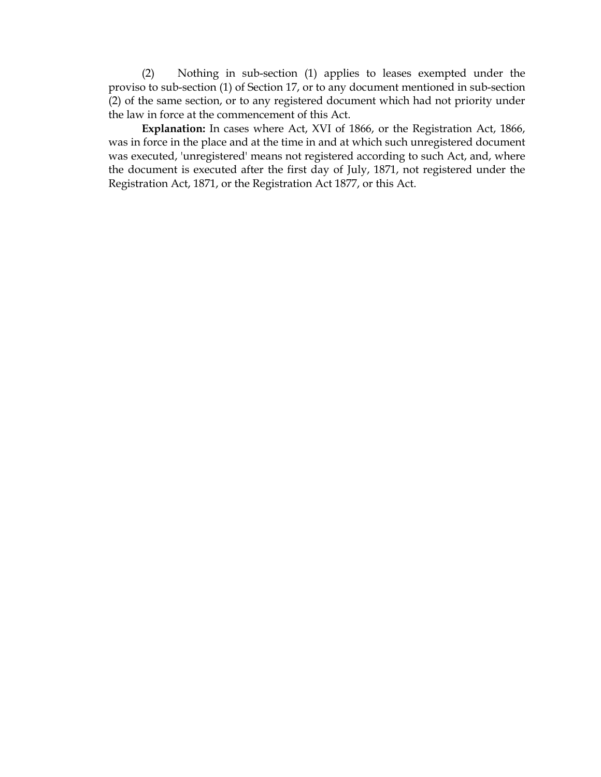(2) Nothing in sub-section (1) applies to leases exempted under the proviso to sub-section (1) of Section 17, or to any document mentioned in sub-section (2) of the same section, or to any registered document which had not priority under the law in force at the commencement of this Act.

**Explanation:** In cases where Act, XVI of 1866, or the Registration Act, 1866, was in force in the place and at the time in and at which such unregistered document was executed, 'unregistered' means not registered according to such Act, and, where the document is executed after the first day of July, 1871, not registered under the Registration Act, 1871, or the Registration Act 1877, or this Act.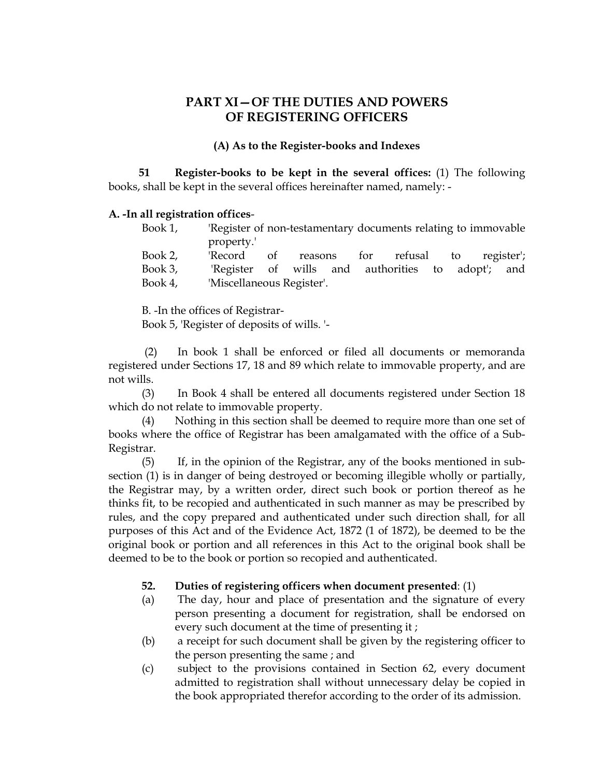## **PART XI—OF THE DUTIES AND POWERS OF REGISTERING OFFICERS**

#### **(A) As to the Register-books and Indexes**

 **51 Register-books to be kept in the several offices:** (1) The following books, shall be kept in the several offices hereinafter named, namely: -

#### **A. -In all registration offices**-

| Book 1, | 'Register of non-testamentary documents relating to immovable |            |  |  |  |  |                                   |  |  |  |
|---------|---------------------------------------------------------------|------------|--|--|--|--|-----------------------------------|--|--|--|
|         | property.                                                     |            |  |  |  |  |                                   |  |  |  |
| Book 2, | 'Record                                                       | $\circ$ of |  |  |  |  | reasons for refusal to register'; |  |  |  |

| Book 3, |                           |  | 'Register of wills and authorities to adopt'; and |  |  |
|---------|---------------------------|--|---------------------------------------------------|--|--|
| Book 4, | 'Miscellaneous Register'. |  |                                                   |  |  |

B. -In the offices of Registrar-

Book 5, 'Register of deposits of wills. '-

 (2) In book 1 shall be enforced or filed all documents or memoranda registered under Sections 17, 18 and 89 which relate to immovable property, and are not wills.

(3) In Book 4 shall be entered all documents registered under Section 18 which do not relate to immovable property.

(4) Nothing in this section shall be deemed to require more than one set of books where the office of Registrar has been amalgamated with the office of a Sub-Registrar.

(5) If, in the opinion of the Registrar, any of the books mentioned in subsection (1) is in danger of being destroyed or becoming illegible wholly or partially, the Registrar may, by a written order, direct such book or portion thereof as he thinks fit, to be recopied and authenticated in such manner as may be prescribed by rules, and the copy prepared and authenticated under such direction shall, for all purposes of this Act and of the Evidence Act, 1872 (1 of 1872), be deemed to be the original book or portion and all references in this Act to the original book shall be deemed to be to the book or portion so recopied and authenticated.

#### **52. Duties of registering officers when document presented**: (1)

- (a) The day, hour and place of presentation and the signature of every person presenting a document for registration, shall be endorsed on every such document at the time of presenting it ;
- (b) a receipt for such document shall be given by the registering officer to the person presenting the same ; and
- (c) subject to the provisions contained in Section 62, every document admitted to registration shall without unnecessary delay be copied in the book appropriated therefor according to the order of its admission.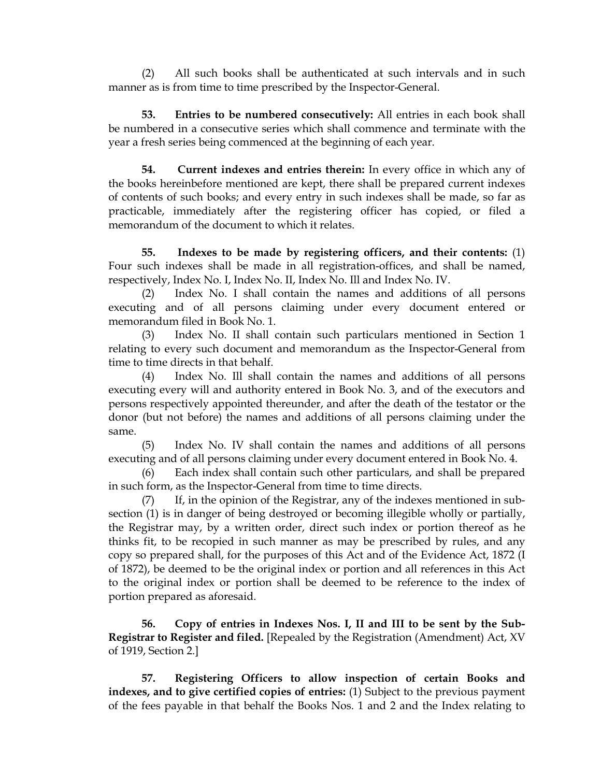(2) All such books shall be authenticated at such intervals and in such manner as is from time to time prescribed by the Inspector-General.

**53. Entries to be numbered consecutively:** All entries in each book shall be numbered in a consecutive series which shall commence and terminate with the year a fresh series being commenced at the beginning of each year.

**54. Current indexes and entries therein:** In every office in which any of the books hereinbefore mentioned are kept, there shall be prepared current indexes of contents of such books; and every entry in such indexes shall be made, so far as practicable, immediately after the registering officer has copied, or filed a memorandum of the document to which it relates.

**55. Indexes to be made by registering officers, and their contents:** (1) Four such indexes shall be made in all registration-offices, and shall be named, respectively, Index No. I, Index No. II, Index No. Ill and Index No. IV.

(2) Index No. I shall contain the names and additions of all persons executing and of all persons claiming under every document entered or memorandum filed in Book No. 1.

(3) Index No. II shall contain such particulars mentioned in Section 1 relating to every such document and memorandum as the Inspector-General from time to time directs in that behalf.

(4) Index No. Ill shall contain the names and additions of all persons executing every will and authority entered in Book No. 3, and of the executors and persons respectively appointed thereunder, and after the death of the testator or the donor (but not before) the names and additions of all persons claiming under the same.

(5) Index No. IV shall contain the names and additions of all persons executing and of all persons claiming under every document entered in Book No. 4.

(6) Each index shall contain such other particulars, and shall be prepared in such form, as the Inspector-General from time to time directs.

(7) If, in the opinion of the Registrar, any of the indexes mentioned in subsection (1) is in danger of being destroyed or becoming illegible wholly or partially, the Registrar may, by a written order, direct such index or portion thereof as he thinks fit, to be recopied in such manner as may be prescribed by rules, and any copy so prepared shall, for the purposes of this Act and of the Evidence Act, 1872 (I of 1872), be deemed to be the original index or portion and all references in this Act to the original index or portion shall be deemed to be reference to the index of portion prepared as aforesaid.

**56. Copy of entries in Indexes Nos. I, II and III to be sent by the Sub-Registrar to Register and filed.** [Repealed by the Registration (Amendment) Act, XV of 1919, Section 2.]

**57. Registering Officers to allow inspection of certain Books and indexes, and to give certified copies of entries:** (1) Subject to the previous payment of the fees payable in that behalf the Books Nos. 1 and 2 and the Index relating to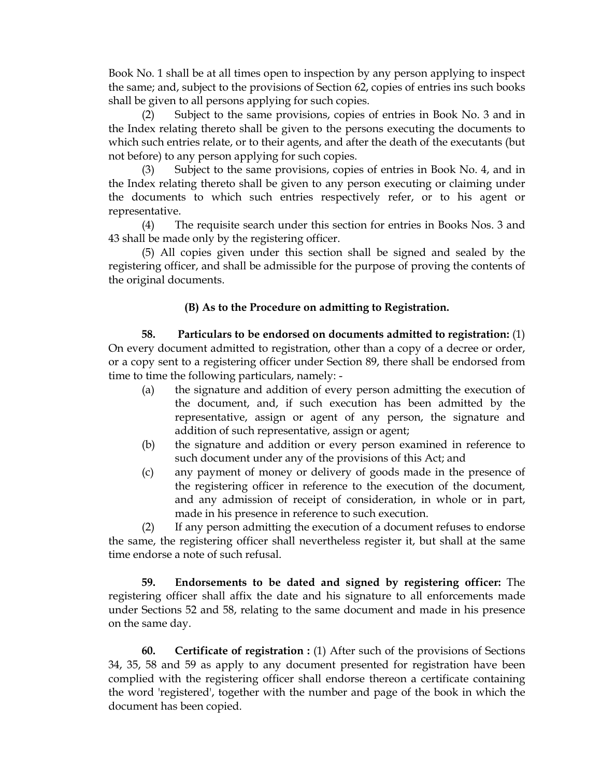Book No. 1 shall be at all times open to inspection by any person applying to inspect the same; and, subject to the provisions of Section 62, copies of entries ins such books shall be given to all persons applying for such copies.

(2) Subject to the same provisions, copies of entries in Book No. 3 and in the Index relating thereto shall be given to the persons executing the documents to which such entries relate, or to their agents, and after the death of the executants (but not before) to any person applying for such copies.

Subject to the same provisions, copies of entries in Book No. 4, and in the Index relating thereto shall be given to any person executing or claiming under the documents to which such entries respectively refer, or to his agent or representative.

(4) The requisite search under this section for entries in Books Nos. 3 and 43 shall be made only by the registering officer.

(5) All copies given under this section shall be signed and sealed by the registering officer, and shall be admissible for the purpose of proving the contents of the original documents.

#### **(B) As to the Procedure on admitting to Registration.**

**58. Particulars to be endorsed on documents admitted to registration:** (1) On every document admitted to registration, other than a copy of a decree or order, or a copy sent to a registering officer under Section 89, there shall be endorsed from time to time the following particulars, namely: -

- (a) the signature and addition of every person admitting the execution of the document, and, if such execution has been admitted by the representative, assign or agent of any person, the signature and addition of such representative, assign or agent;
- (b) the signature and addition or every person examined in reference to such document under any of the provisions of this Act; and
- (c) any payment of money or delivery of goods made in the presence of the registering officer in reference to the execution of the document, and any admission of receipt of consideration, in whole or in part, made in his presence in reference to such execution.

(2) If any person admitting the execution of a document refuses to endorse the same, the registering officer shall nevertheless register it, but shall at the same time endorse a note of such refusal.

**59. Endorsements to be dated and signed by registering officer:** The registering officer shall affix the date and his signature to all enforcements made under Sections 52 and 58, relating to the same document and made in his presence on the same day.

**60. Certificate of registration :** (1) After such of the provisions of Sections 34, 35, 58 and 59 as apply to any document presented for registration have been complied with the registering officer shall endorse thereon a certificate containing the word 'registered', together with the number and page of the book in which the document has been copied.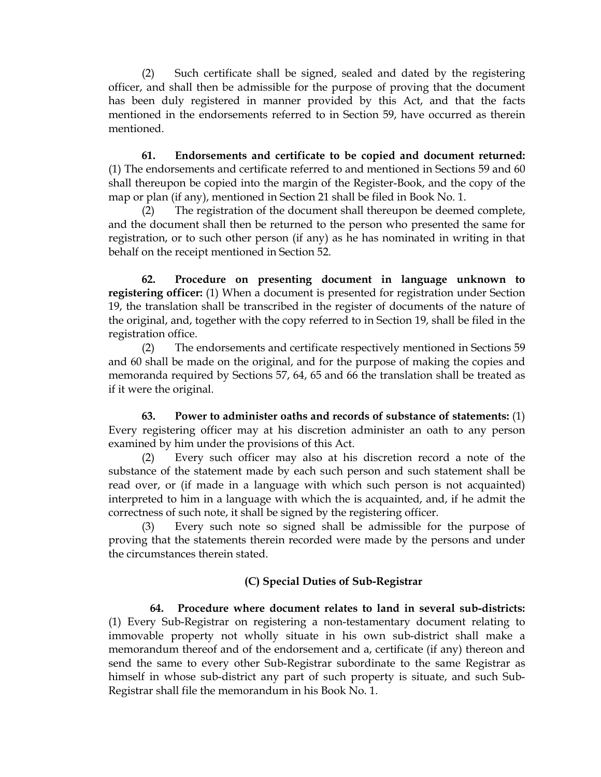(2) Such certificate shall be signed, sealed and dated by the registering officer, and shall then be admissible for the purpose of proving that the document has been duly registered in manner provided by this Act, and that the facts mentioned in the endorsements referred to in Section 59, have occurred as therein mentioned.

**61. Endorsements and certificate to be copied and document returned:** (1) The endorsements and certificate referred to and mentioned in Sections 59 and 60 shall thereupon be copied into the margin of the Register-Book, and the copy of the map or plan (if any), mentioned in Section 21 shall be filed in Book No. 1.

(2) The registration of the document shall thereupon be deemed complete, and the document shall then be returned to the person who presented the same for registration, or to such other person (if any) as he has nominated in writing in that behalf on the receipt mentioned in Section 52.

**62. Procedure on presenting document in language unknown to registering officer:** (1) When a document is presented for registration under Section 19, the translation shall be transcribed in the register of documents of the nature of the original, and, together with the copy referred to in Section 19, shall be filed in the registration office.

(2) The endorsements and certificate respectively mentioned in Sections 59 and 60 shall be made on the original, and for the purpose of making the copies and memoranda required by Sections 57, 64, 65 and 66 the translation shall be treated as if it were the original.

**63. Power to administer oaths and records of substance of statements:** (1) Every registering officer may at his discretion administer an oath to any person examined by him under the provisions of this Act.

(2) Every such officer may also at his discretion record a note of the substance of the statement made by each such person and such statement shall be read over, or (if made in a language with which such person is not acquainted) interpreted to him in a language with which the is acquainted, and, if he admit the correctness of such note, it shall be signed by the registering officer.

(3) Every such note so signed shall be admissible for the purpose of proving that the statements therein recorded were made by the persons and under the circumstances therein stated.

#### **(C) Special Duties of Sub-Registrar**

 **64. Procedure where document relates to land in several sub-districts:** (1) Every Sub-Registrar on registering a non-testamentary document relating to immovable property not wholly situate in his own sub-district shall make a memorandum thereof and of the endorsement and a, certificate (if any) thereon and send the same to every other Sub-Registrar subordinate to the same Registrar as himself in whose sub-district any part of such property is situate, and such Sub-Registrar shall file the memorandum in his Book No. 1.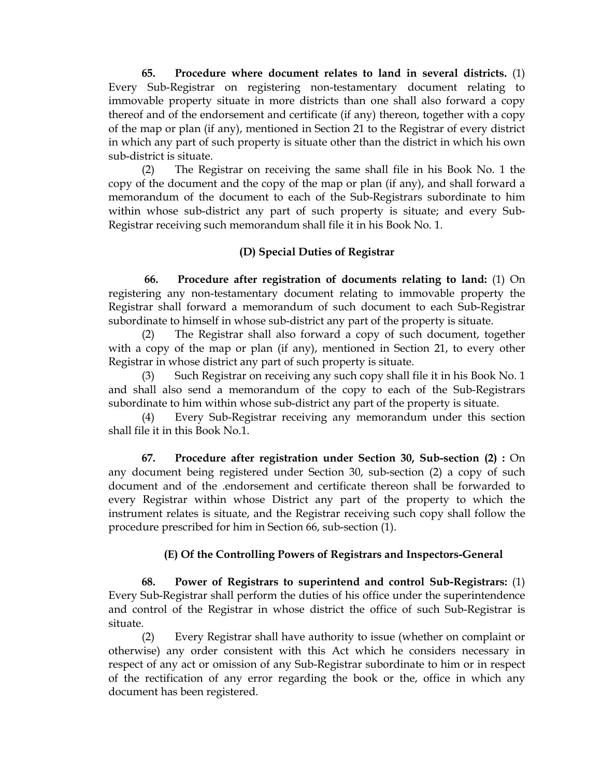**65. Procedure where document relates to land in several districts.** (1) Every Sub-Registrar on registering non-testamentary document relating to immovable property situate in more districts than one shall also forward a copy thereof and of the endorsement and certificate (if any) thereon, together with a copy of the map or plan (if any), mentioned in Section 21 to the Registrar of every district in which any part of such property is situate other than the district in which his own sub-district is situate.

(2) The Registrar on receiving the same shall file in his Book No. 1 the copy of the document and the copy of the map or plan (if any), and shall forward a memorandum of the document to each of the Sub-Registrars subordinate to him within whose sub-district any part of such property is situate; and every Sub-Registrar receiving such memorandum shall file it in his Book No. 1.

#### **(D) Special Duties of Registrar**

 **66. Procedure after registration of documents relating to land:** (1) On registering any non-testamentary document relating to immovable property the Registrar shall forward a memorandum of such document to each Sub-Registrar subordinate to himself in whose sub-district any part of the property is situate.

(2) The Registrar shall also forward a copy of such document, together with a copy of the map or plan (if any), mentioned in Section 21, to every other Registrar in whose district any part of such property is situate.

(3) Such Registrar on receiving any such copy shall file it in his Book No. 1 and shall also send a memorandum of the copy to each of the Sub-Registrars subordinate to him within whose sub-district any part of the property is situate.

(4) Every Sub-Registrar receiving any memorandum under this section shall file it in this Book No.1.

**67. Procedure after registration under Section 30, Sub-section (2) :** On any document being registered under Section 30, sub-section (2) a copy of such document and of the .endorsement and certificate thereon shall be forwarded to every Registrar within whose District any part of the property to which the instrument relates is situate, and the Registrar receiving such copy shall follow the procedure prescribed for him in Section 66, sub-section (1).

#### **(E) Of the Controlling Powers of Registrars and Inspectors-General**

 **68. Power of Registrars to superintend and control Sub-Registrars:** (1) Every Sub-Registrar shall perform the duties of his office under the superintendence and control of the Registrar in whose district the office of such Sub-Registrar is situate.

(2) Every Registrar shall have authority to issue (whether on complaint or otherwise) any order consistent with this Act which he considers necessary in respect of any act or omission of any Sub-Registrar subordinate to him or in respect of the rectification of any error regarding the book or the, office in which any document has been registered.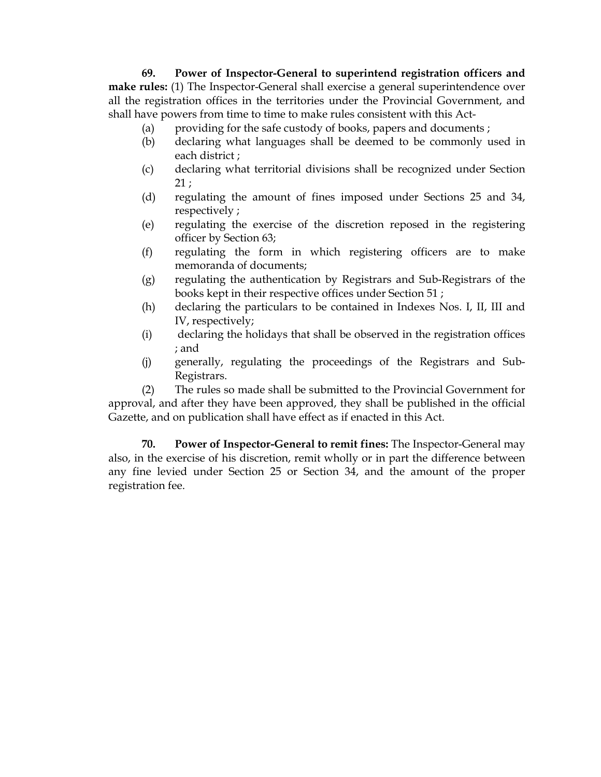#### **69. Power of Inspector-General to superintend registration officers and make rules:** (1) The Inspector-General shall exercise a general superintendence over all the registration offices in the territories under the Provincial Government, and shall have powers from time to time to make rules consistent with this Act-

- (a) providing for the safe custody of books, papers and documents ;
- (b) declaring what languages shall be deemed to be commonly used in each district ;
- (c) declaring what territorial divisions shall be recognized under Section 21 ;
- (d) regulating the amount of fines imposed under Sections 25 and 34, respectively ;
- (e) regulating the exercise of the discretion reposed in the registering officer by Section 63;
- (f) regulating the form in which registering officers are to make memoranda of documents;
- (g) regulating the authentication by Registrars and Sub-Registrars of the books kept in their respective offices under Section 51 ;
- (h) declaring the particulars to be contained in Indexes Nos. I, II, III and IV, respectively;
- (i) declaring the holidays that shall be observed in the registration offices ; and
- (j) generally, regulating the proceedings of the Registrars and Sub-Registrars.

(2) The rules so made shall be submitted to the Provincial Government for approval, and after they have been approved, they shall be published in the official Gazette, and on publication shall have effect as if enacted in this Act.

**70. Power of Inspector-General to remit fines:** The Inspector-General may also, in the exercise of his discretion, remit wholly or in part the difference between any fine levied under Section 25 or Section 34, and the amount of the proper registration fee.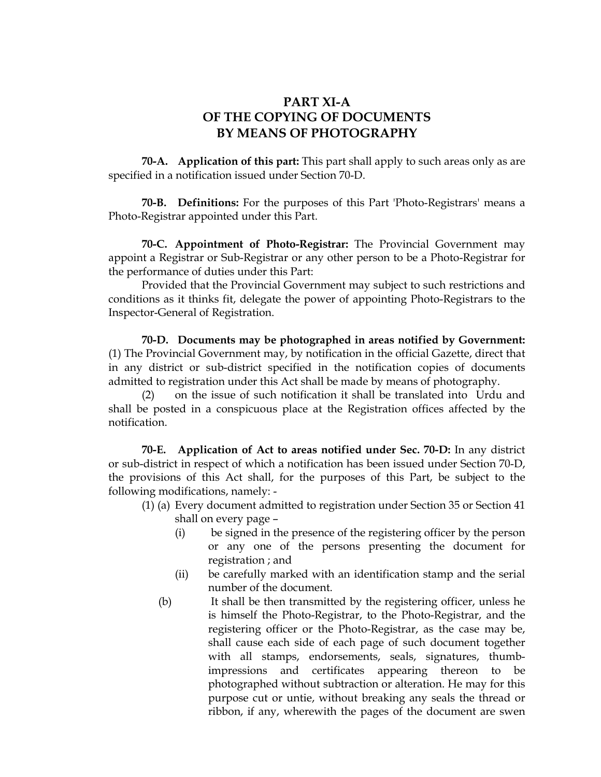## **PART XI-A OF THE COPYING OF DOCUMENTS BY MEANS OF PHOTOGRAPHY**

 **70-A. Application of this part:** This part shall apply to such areas only as are specified in a notification issued under Section 70-D.

**70-B. Definitions:** For the purposes of this Part 'Photo-Registrars' means a Photo-Registrar appointed under this Part.

**70-C. Appointment of Photo-Registrar:** The Provincial Government may appoint a Registrar or Sub-Registrar or any other person to be a Photo-Registrar for the performance of duties under this Part:

Provided that the Provincial Government may subject to such restrictions and conditions as it thinks fit, delegate the power of appointing Photo-Registrars to the Inspector-General of Registration.

**70-D. Documents may be photographed in areas notified by Government:** (1) The Provincial Government may, by notification in the official Gazette, direct that in any district or sub-district specified in the notification copies of documents admitted to registration under this Act shall be made by means of photography.

(2) on the issue of such notification it shall be translated into Urdu and shall be posted in a conspicuous place at the Registration offices affected by the notification.

**70-E. Application of Act to areas notified under Sec. 70-D:** In any district or sub-district in respect of which a notification has been issued under Section 70-D, the provisions of this Act shall, for the purposes of this Part, be subject to the following modifications, namely: -

- (1) (a) Every document admitted to registration under Section 35 or Section 41 shall on every page –
	- (i) be signed in the presence of the registering officer by the person or any one of the persons presenting the document for registration ; and
	- (ii) be carefully marked with an identification stamp and the serial number of the document.
	- (b) It shall be then transmitted by the registering officer, unless he is himself the Photo-Registrar, to the Photo-Registrar, and the registering officer or the Photo-Registrar, as the case may be, shall cause each side of each page of such document together with all stamps, endorsements, seals, signatures, thumbimpressions and certificates appearing thereon to be photographed without subtraction or alteration. He may for this purpose cut or untie, without breaking any seals the thread or ribbon, if any, wherewith the pages of the document are swen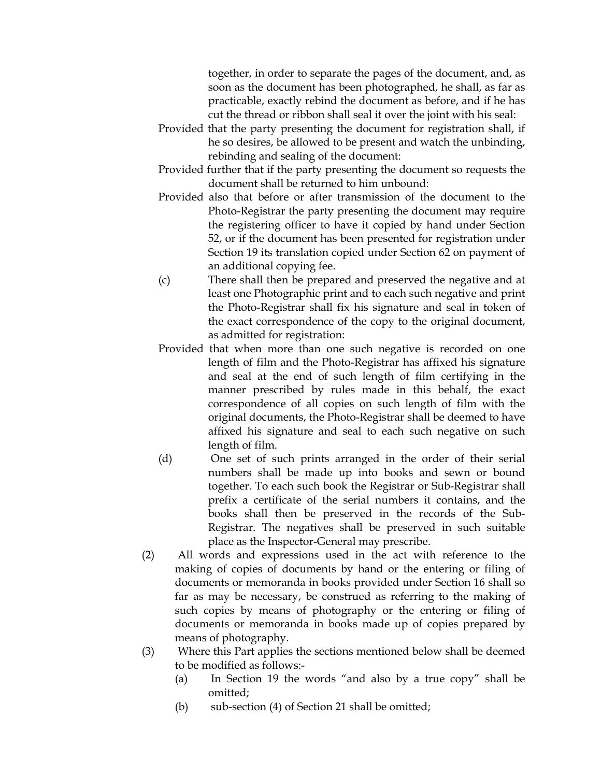together, in order to separate the pages of the document, and, as soon as the document has been photographed, he shall, as far as practicable, exactly rebind the document as before, and if he has cut the thread or ribbon shall seal it over the joint with his seal:

- Provided that the party presenting the document for registration shall, if he so desires, be allowed to be present and watch the unbinding, rebinding and sealing of the document:
- Provided further that if the party presenting the document so requests the document shall be returned to him unbound:
- Provided also that before or after transmission of the document to the Photo-Registrar the party presenting the document may require the registering officer to have it copied by hand under Section 52, or if the document has been presented for registration under Section 19 its translation copied under Section 62 on payment of an additional copying fee.
- (c) There shall then be prepared and preserved the negative and at least one Photographic print and to each such negative and print the Photo-Registrar shall fix his signature and seal in token of the exact correspondence of the copy to the original document, as admitted for registration:
- Provided that when more than one such negative is recorded on one length of film and the Photo-Registrar has affixed his signature and seal at the end of such length of film certifying in the manner prescribed by rules made in this behalf, the exact correspondence of all copies on such length of film with the original documents, the Photo-Registrar shall be deemed to have affixed his signature and seal to each such negative on such length of film.
- (d) One set of such prints arranged in the order of their serial numbers shall be made up into books and sewn or bound together. To each such book the Registrar or Sub-Registrar shall prefix a certificate of the serial numbers it contains, and the books shall then be preserved in the records of the Sub-Registrar. The negatives shall be preserved in such suitable place as the Inspector-General may prescribe.
- (2) All words and expressions used in the act with reference to the making of copies of documents by hand or the entering or filing of documents or memoranda in books provided under Section 16 shall so far as may be necessary, be construed as referring to the making of such copies by means of photography or the entering or filing of documents or memoranda in books made up of copies prepared by means of photography.
- (3) Where this Part applies the sections mentioned below shall be deemed to be modified as follows:-
	- (a) In Section 19 the words "and also by a true copy" shall be omitted;
	- (b) sub-section (4) of Section 21 shall be omitted;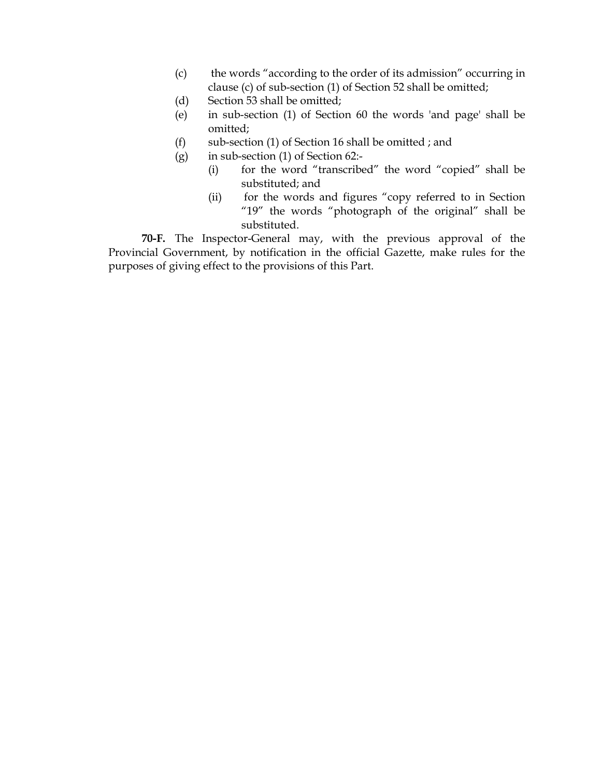- (c) the words "according to the order of its admission" occurring in clause (c) of sub-section (1) of Section 52 shall be omitted;
- (d) Section 53 shall be omitted;
- (e) in sub-section (1) of Section 60 the words 'and page' shall be omitted;
- (f) sub-section (1) of Section 16 shall be omitted ; and
- (g) in sub-section (1) of Section 62:-
	- (i) for the word "transcribed" the word "copied" shall be substituted; and
	- (ii) for the words and figures "copy referred to in Section "19" the words "photograph of the original" shall be substituted.

**70-F.** The Inspector-General may, with the previous approval of the Provincial Government, by notification in the official Gazette, make rules for the purposes of giving effect to the provisions of this Part.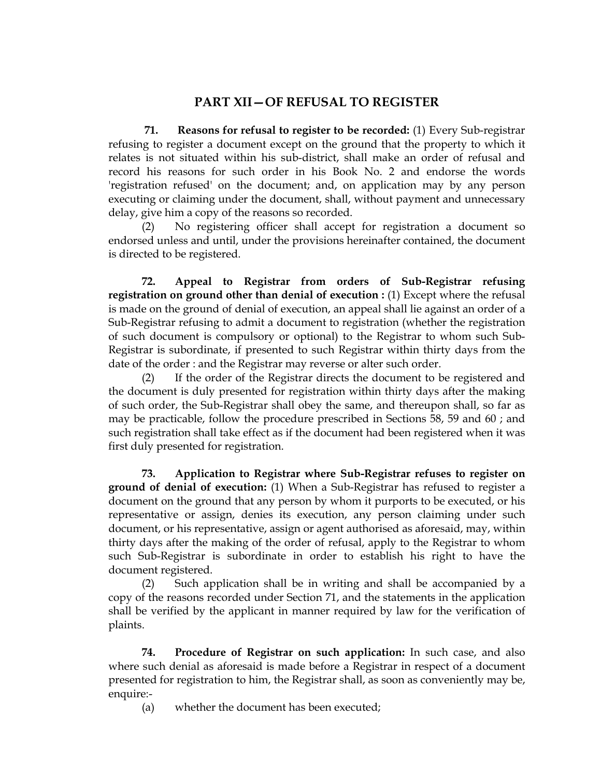## **PART XII—OF REFUSAL TO REGISTER**

 **71. Reasons for refusal to register to be recorded:** (1) Every Sub-registrar refusing to register a document except on the ground that the property to which it relates is not situated within his sub-district, shall make an order of refusal and record his reasons for such order in his Book No. 2 and endorse the words 'registration refused' on the document; and, on application may by any person executing or claiming under the document, shall, without payment and unnecessary delay, give him a copy of the reasons so recorded.

(2) No registering officer shall accept for registration a document so endorsed unless and until, under the provisions hereinafter contained, the document is directed to be registered.

**72. Appeal to Registrar from orders of Sub-Registrar refusing registration on ground other than denial of execution :** (1) Except where the refusal is made on the ground of denial of execution, an appeal shall lie against an order of a Sub-Registrar refusing to admit a document to registration (whether the registration of such document is compulsory or optional) to the Registrar to whom such Sub-Registrar is subordinate, if presented to such Registrar within thirty days from the date of the order : and the Registrar may reverse or alter such order.

(2) If the order of the Registrar directs the document to be registered and the document is duly presented for registration within thirty days after the making of such order, the Sub-Registrar shall obey the same, and thereupon shall, so far as may be practicable, follow the procedure prescribed in Sections 58, 59 and 60 ; and such registration shall take effect as if the document had been registered when it was first duly presented for registration.

**73. Application to Registrar where Sub-Registrar refuses to register on ground of denial of execution:** (1) When a Sub-Registrar has refused to register a document on the ground that any person by whom it purports to be executed, or his representative or assign, denies its execution, any person claiming under such document, or his representative, assign or agent authorised as aforesaid, may, within thirty days after the making of the order of refusal, apply to the Registrar to whom such Sub-Registrar is subordinate in order to establish his right to have the document registered.

(2) Such application shall be in writing and shall be accompanied by a copy of the reasons recorded under Section 71, and the statements in the application shall be verified by the applicant in manner required by law for the verification of plaints.

**74. Procedure of Registrar on such application:** In such case, and also where such denial as aforesaid is made before a Registrar in respect of a document presented for registration to him, the Registrar shall, as soon as conveniently may be, enquire:-

(a) whether the document has been executed;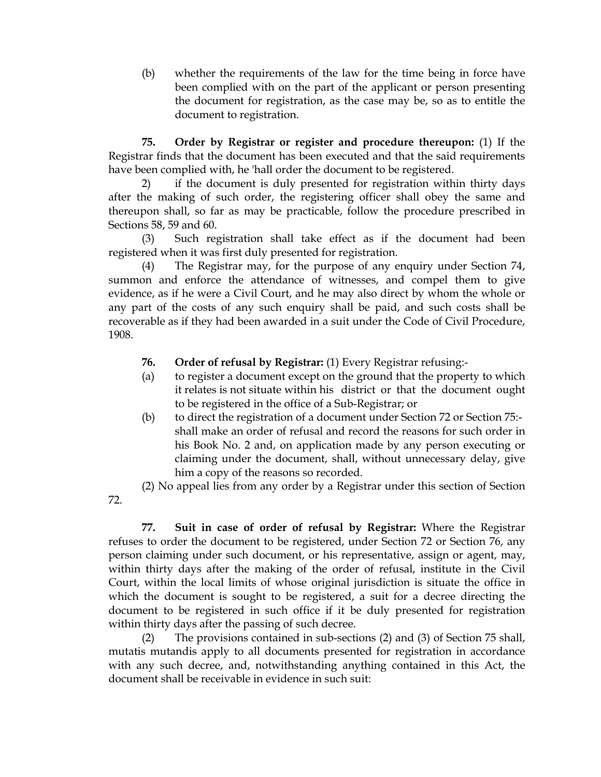(b) whether the requirements of the law for the time being in force have been complied with on the part of the applicant or person presenting the document for registration, as the case may be, so as to entitle the document to registration.

**75. Order by Registrar or register and procedure thereupon:** (1) If the Registrar finds that the document has been executed and that the said requirements have been complied with, he 'hall order the document to be registered.

2) if the document is duly presented for registration within thirty days after the making of such order, the registering officer shall obey the same and thereupon shall, so far as may be practicable, follow the procedure prescribed in Sections 58, 59 and 60.

(3) Such registration shall take effect as if the document had been registered when it was first duly presented for registration.

(4) The Registrar may, for the purpose of any enquiry under Section 74, summon and enforce the attendance of witnesses, and compel them to give evidence, as if he were a Civil Court, and he may also direct by whom the whole or any part of the costs of any such enquiry shall be paid, and such costs shall be recoverable as if they had been awarded in a suit under the Code of Civil Procedure, 1908.

- **76. Order of refusal by Registrar:** (1) Every Registrar refusing:-
- (a) to register a document except on the ground that the property to which it relates is not situate within his district or that the document ought to be registered in the office of a Sub-Registrar; or
- (b) to direct the registration of a document under Section 72 or Section 75: shall make an order of refusal and record the reasons for such order in his Book No. 2 and, on application made by any person executing or claiming under the document, shall, without unnecessary delay, give him a copy of the reasons so recorded.

(2) No appeal lies from any order by a Registrar under this section of Section

72.

**77. Suit in case of order of refusal by Registrar:** Where the Registrar refuses to order the document to be registered, under Section 72 or Section 76, any person claiming under such document, or his representative, assign or agent, may, within thirty days after the making of the order of refusal, institute in the Civil Court, within the local limits of whose original jurisdiction is situate the office in which the document is sought to be registered, a suit for a decree directing the document to be registered in such office if it be duly presented for registration within thirty days after the passing of such decree.

(2) The provisions contained in sub-sections (2) and (3) of Section 75 shall, mutatis mutandis apply to all documents presented for registration in accordance with any such decree, and, notwithstanding anything contained in this Act, the document shall be receivable in evidence in such suit: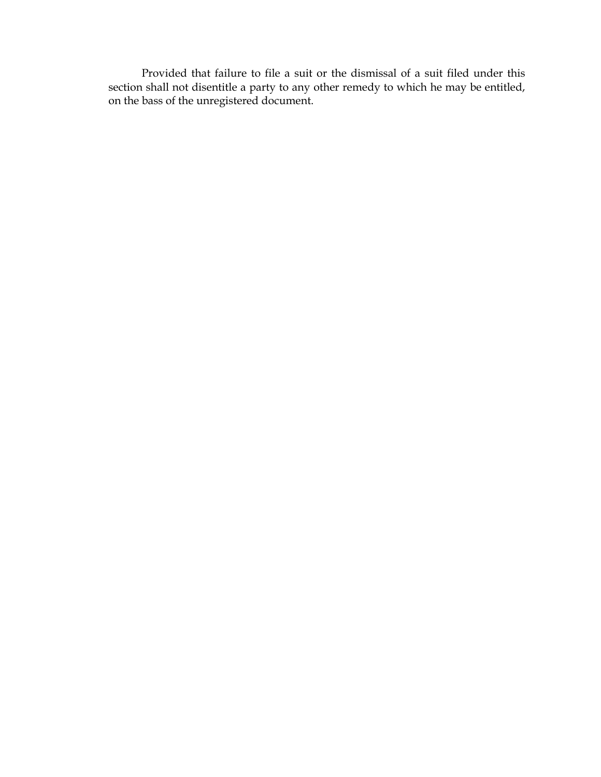Provided that failure to file a suit or the dismissal of a suit filed under this section shall not disentitle a party to any other remedy to which he may be entitled, on the bass of the unregistered document.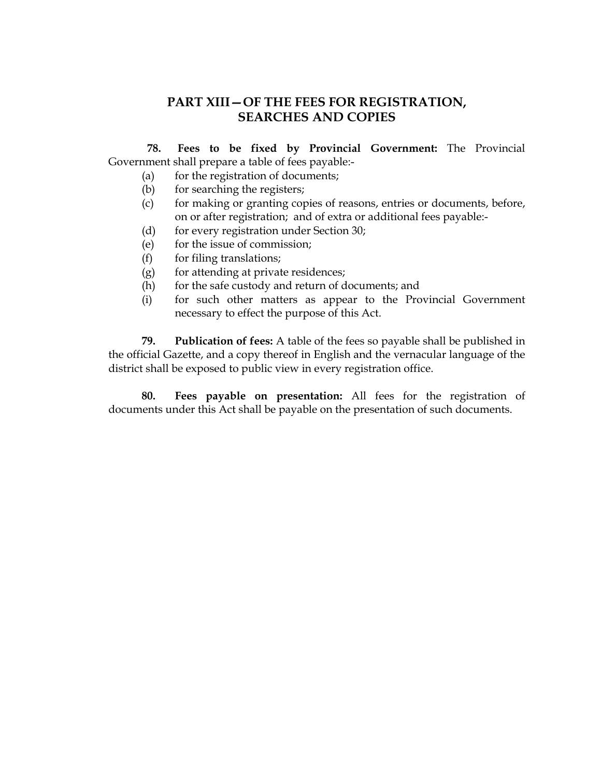## **PART XIII—OF THE FEES FOR REGISTRATION, SEARCHES AND COPIES**

 **78. Fees to be fixed by Provincial Government:** The Provincial Government shall prepare a table of fees payable:-

- (a) for the registration of documents;
- (b) for searching the registers;
- (c) for making or granting copies of reasons, entries or documents, before, on or after registration; and of extra or additional fees payable:-
- (d) for every registration under Section 30;
- (e) for the issue of commission;
- $(f)$  for filing translations;
- (g) for attending at private residences;
- (h) for the safe custody and return of documents; and
- (i) for such other matters as appear to the Provincial Government necessary to effect the purpose of this Act.

**79. Publication of fees:** A table of the fees so payable shall be published in the official Gazette, and a copy thereof in English and the vernacular language of the district shall be exposed to public view in every registration office.

**80. Fees payable on presentation:** All fees for the registration of documents under this Act shall be payable on the presentation of such documents.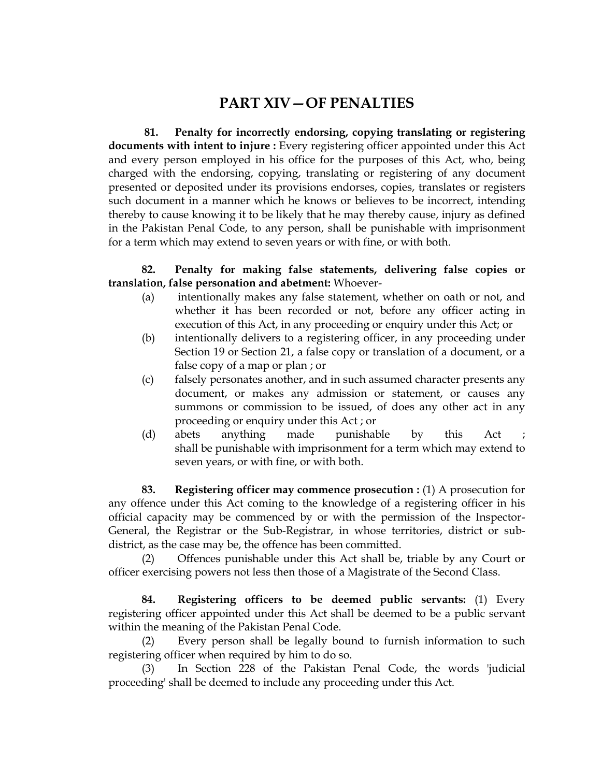## **PART XIV—OF PENALTIES**

 **81. Penalty for incorrectly endorsing, copying translating or registering documents with intent to injure :** Every registering officer appointed under this Act and every person employed in his office for the purposes of this Act, who, being charged with the endorsing, copying, translating or registering of any document presented or deposited under its provisions endorses, copies, translates or registers such document in a manner which he knows or believes to be incorrect, intending thereby to cause knowing it to be likely that he may thereby cause, injury as defined in the Pakistan Penal Code, to any person, shall be punishable with imprisonment for a term which may extend to seven years or with fine, or with both.

#### **82. Penalty for making false statements, delivering false copies or translation, false personation and abetment:** Whoever-

- (a) intentionally makes any false statement, whether on oath or not, and whether it has been recorded or not, before any officer acting in execution of this Act, in any proceeding or enquiry under this Act; or
- (b) intentionally delivers to a registering officer, in any proceeding under Section 19 or Section 21, a false copy or translation of a document, or a false copy of a map or plan ; or
- (c) falsely personates another, and in such assumed character presents any document, or makes any admission or statement, or causes any summons or commission to be issued, of does any other act in any proceeding or enquiry under this Act ; or
- (d) abets anything made punishable by this Act shall be punishable with imprisonment for a term which may extend to seven years, or with fine, or with both.

**83. Registering officer may commence prosecution :** (1) A prosecution for any offence under this Act coming to the knowledge of a registering officer in his official capacity may be commenced by or with the permission of the Inspector-General, the Registrar or the Sub-Registrar, in whose territories, district or subdistrict, as the case may be, the offence has been committed.

(2) Offences punishable under this Act shall be, triable by any Court or officer exercising powers not less then those of a Magistrate of the Second Class.

**84. Registering officers to be deemed public servants:** (1) Every registering officer appointed under this Act shall be deemed to be a public servant within the meaning of the Pakistan Penal Code.

(2) Every person shall be legally bound to furnish information to such registering officer when required by him to do so.

(3) In Section 228 of the Pakistan Penal Code, the words 'judicial proceeding' shall be deemed to include any proceeding under this Act.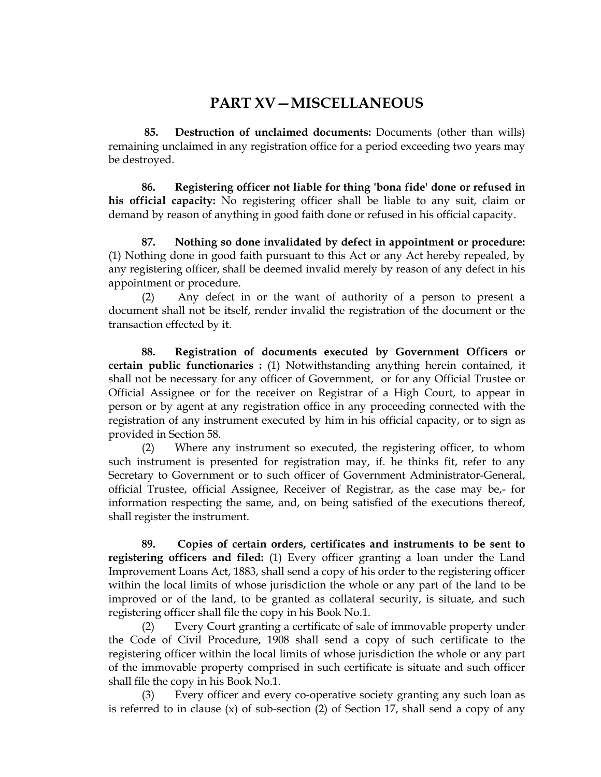## **PART XV—MISCELLANEOUS**

 **85. Destruction of unclaimed documents:** Documents (other than wills) remaining unclaimed in any registration office for a period exceeding two years may be destroyed.

**86. Registering officer not liable for thing 'bona fide' done or refused in his official capacity:** No registering officer shall be liable to any suit, claim or demand by reason of anything in good faith done or refused in his official capacity.

**87. Nothing so done invalidated by defect in appointment or procedure:** (1) Nothing done in good faith pursuant to this Act or any Act hereby repealed, by any registering officer, shall be deemed invalid merely by reason of any defect in his appointment or procedure.

(2) Any defect in or the want of authority of a person to present a document shall not be itself, render invalid the registration of the document or the transaction effected by it.

**88. Registration of documents executed by Government Officers or certain public functionaries :** (1) Notwithstanding anything herein contained, it shall not be necessary for any officer of Government, or for any Official Trustee or Official Assignee or for the receiver on Registrar of a High Court, to appear in person or by agent at any registration office in any proceeding connected with the registration of any instrument executed by him in his official capacity, or to sign as provided in Section 58.

(2) Where any instrument so executed, the registering officer, to whom such instrument is presented for registration may, if. he thinks fit, refer to any Secretary to Government or to such officer of Government Administrator-General, official Trustee, official Assignee, Receiver of Registrar, as the case may be,- for information respecting the same, and, on being satisfied of the executions thereof, shall register the instrument.

**89. Copies of certain orders, certificates and instruments to be sent to registering officers and filed:** (1) Every officer granting a loan under the Land Improvement Loans Act, 1883, shall send a copy of his order to the registering officer within the local limits of whose jurisdiction the whole or any part of the land to be improved or of the land, to be granted as collateral security, is situate, and such registering officer shall file the copy in his Book No.1.

(2) Every Court granting a certificate of sale of immovable property under the Code of Civil Procedure, 1908 shall send a copy of such certificate to the registering officer within the local limits of whose jurisdiction the whole or any part of the immovable property comprised in such certificate is situate and such officer shall file the copy in his Book No.1.

Every officer and every co-operative society granting any such loan as is referred to in clause  $(x)$  of sub-section  $(2)$  of Section 17, shall send a copy of any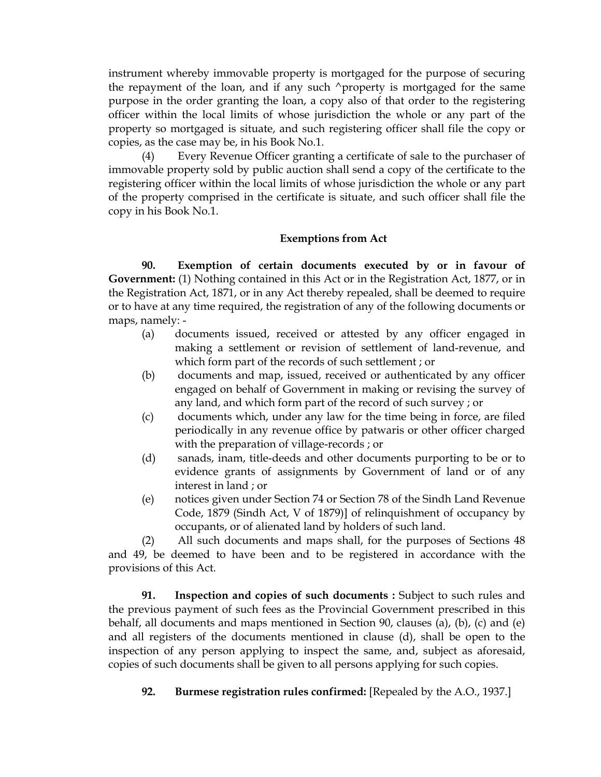instrument whereby immovable property is mortgaged for the purpose of securing the repayment of the loan, and if any such  $\land$  property is mortgaged for the same purpose in the order granting the loan, a copy also of that order to the registering officer within the local limits of whose jurisdiction the whole or any part of the property so mortgaged is situate, and such registering officer shall file the copy or copies, as the case may be, in his Book No.1.

(4) Every Revenue Officer granting a certificate of sale to the purchaser of immovable property sold by public auction shall send a copy of the certificate to the registering officer within the local limits of whose jurisdiction the whole or any part of the property comprised in the certificate is situate, and such officer shall file the copy in his Book No.1.

#### **Exemptions from Act**

 **90. Exemption of certain documents executed by or in favour of Government:** (1) Nothing contained in this Act or in the Registration Act, 1877, or in the Registration Act, 1871, or in any Act thereby repealed, shall be deemed to require or to have at any time required, the registration of any of the following documents or maps, namely: -

- (a) documents issued, received or attested by any officer engaged in making a settlement or revision of settlement of land-revenue, and which form part of the records of such settlement ; or
- (b) documents and map, issued, received or authenticated by any officer engaged on behalf of Government in making or revising the survey of any land, and which form part of the record of such survey ; or
- (c) documents which, under any law for the time being in force, are filed periodically in any revenue office by patwaris or other officer charged with the preparation of village-records ; or
- (d) sanads, inam, title-deeds and other documents purporting to be or to evidence grants of assignments by Government of land or of any interest in land ; or
- (e) notices given under Section 74 or Section 78 of the Sindh Land Revenue Code, 1879 (Sindh Act, V of 1879)] of relinquishment of occupancy by occupants, or of alienated land by holders of such land.

(2) All such documents and maps shall, for the purposes of Sections 48 and 49, be deemed to have been and to be registered in accordance with the provisions of this Act.

**91. Inspection and copies of such documents :** Subject to such rules and the previous payment of such fees as the Provincial Government prescribed in this behalf, all documents and maps mentioned in Section 90, clauses (a), (b), (c) and (e) and all registers of the documents mentioned in clause (d), shall be open to the inspection of any person applying to inspect the same, and, subject as aforesaid, copies of such documents shall be given to all persons applying for such copies.

**92. Burmese registration rules confirmed:** [Repealed by the A.O., 1937.]